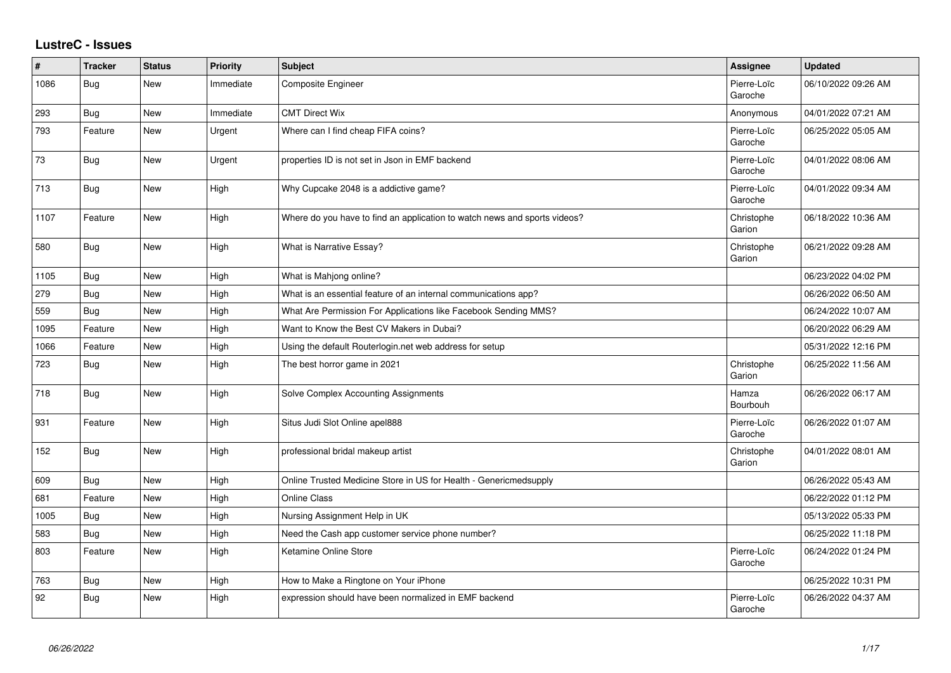## **LustreC - Issues**

| ∦    | <b>Tracker</b> | <b>Status</b> | <b>Priority</b> | Subject                                                                   | <b>Assignee</b>        | <b>Updated</b>      |
|------|----------------|---------------|-----------------|---------------------------------------------------------------------------|------------------------|---------------------|
| 1086 | Bug            | New           | Immediate       | Composite Engineer                                                        | Pierre-Loïc<br>Garoche | 06/10/2022 09:26 AM |
| 293  | <b>Bug</b>     | New           | Immediate       | <b>CMT Direct Wix</b>                                                     | Anonymous              | 04/01/2022 07:21 AM |
| 793  | Feature        | New           | Urgent          | Where can I find cheap FIFA coins?                                        | Pierre-Loïc<br>Garoche | 06/25/2022 05:05 AM |
| 73   | <b>Bug</b>     | New           | Urgent          | properties ID is not set in Json in EMF backend                           | Pierre-Loïc<br>Garoche | 04/01/2022 08:06 AM |
| 713  | <b>Bug</b>     | <b>New</b>    | High            | Why Cupcake 2048 is a addictive game?                                     | Pierre-Loïc<br>Garoche | 04/01/2022 09:34 AM |
| 1107 | Feature        | New           | High            | Where do you have to find an application to watch news and sports videos? | Christophe<br>Garion   | 06/18/2022 10:36 AM |
| 580  | <b>Bug</b>     | New           | High            | What is Narrative Essay?                                                  | Christophe<br>Garion   | 06/21/2022 09:28 AM |
| 1105 | <b>Bug</b>     | <b>New</b>    | High            | What is Mahjong online?                                                   |                        | 06/23/2022 04:02 PM |
| 279  | <b>Bug</b>     | New           | High            | What is an essential feature of an internal communications app?           |                        | 06/26/2022 06:50 AM |
| 559  | Bug            | New           | High            | What Are Permission For Applications like Facebook Sending MMS?           |                        | 06/24/2022 10:07 AM |
| 1095 | Feature        | New           | High            | Want to Know the Best CV Makers in Dubai?                                 |                        | 06/20/2022 06:29 AM |
| 1066 | Feature        | <b>New</b>    | High            | Using the default Routerlogin.net web address for setup                   |                        | 05/31/2022 12:16 PM |
| 723  | Bug            | New           | High            | The best horror game in 2021                                              | Christophe<br>Garion   | 06/25/2022 11:56 AM |
| 718  | <b>Bug</b>     | New           | High            | Solve Complex Accounting Assignments                                      | Hamza<br>Bourbouh      | 06/26/2022 06:17 AM |
| 931  | Feature        | New           | High            | Situs Judi Slot Online apel888                                            | Pierre-Loïc<br>Garoche | 06/26/2022 01:07 AM |
| 152  | Bug            | <b>New</b>    | High            | professional bridal makeup artist                                         | Christophe<br>Garion   | 04/01/2022 08:01 AM |
| 609  | <b>Bug</b>     | New           | High            | Online Trusted Medicine Store in US for Health - Genericmedsupply         |                        | 06/26/2022 05:43 AM |
| 681  | Feature        | New           | High            | <b>Online Class</b>                                                       |                        | 06/22/2022 01:12 PM |
| 1005 | <b>Bug</b>     | New           | High            | Nursing Assignment Help in UK                                             |                        | 05/13/2022 05:33 PM |
| 583  | <b>Bug</b>     | New           | High            | Need the Cash app customer service phone number?                          |                        | 06/25/2022 11:18 PM |
| 803  | Feature        | New           | High            | Ketamine Online Store                                                     | Pierre-Loïc<br>Garoche | 06/24/2022 01:24 PM |
| 763  | <b>Bug</b>     | <b>New</b>    | High            | How to Make a Ringtone on Your iPhone                                     |                        | 06/25/2022 10:31 PM |
| 92   | <b>Bug</b>     | New           | High            | expression should have been normalized in EMF backend                     | Pierre-Loïc<br>Garoche | 06/26/2022 04:37 AM |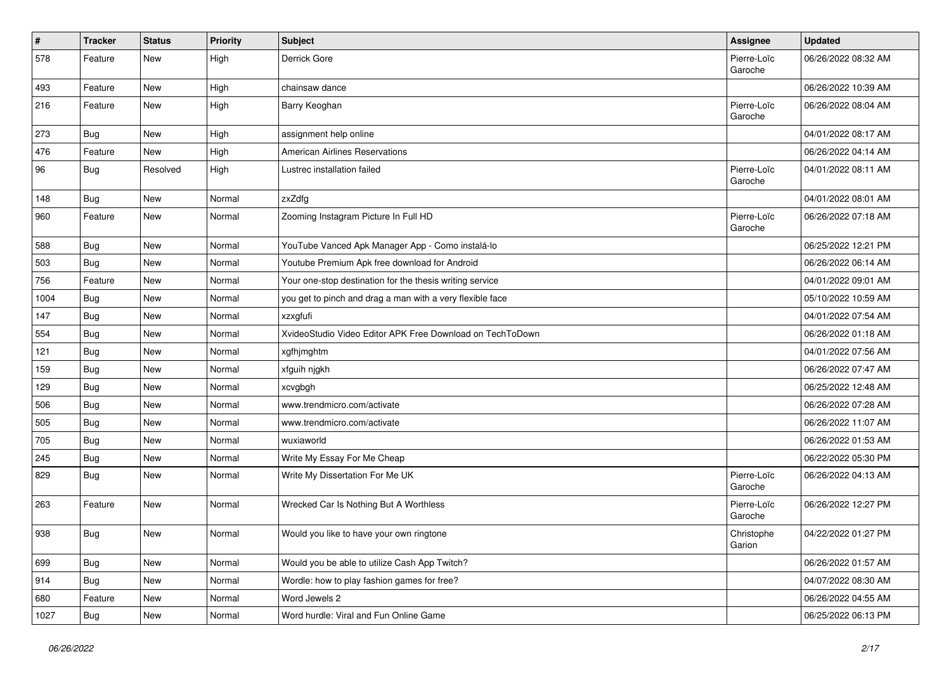| $\vert$ # | <b>Tracker</b> | <b>Status</b> | Priority | <b>Subject</b>                                            | <b>Assignee</b>        | <b>Updated</b>      |
|-----------|----------------|---------------|----------|-----------------------------------------------------------|------------------------|---------------------|
| 578       | Feature        | New           | High     | Derrick Gore                                              | Pierre-Loïc<br>Garoche | 06/26/2022 08:32 AM |
| 493       | Feature        | New           | High     | chainsaw dance                                            |                        | 06/26/2022 10:39 AM |
| 216       | Feature        | New           | High     | Barry Keoghan                                             | Pierre-Loïc<br>Garoche | 06/26/2022 08:04 AM |
| 273       | <b>Bug</b>     | New           | High     | assignment help online                                    |                        | 04/01/2022 08:17 AM |
| 476       | Feature        | New           | High     | <b>American Airlines Reservations</b>                     |                        | 06/26/2022 04:14 AM |
| 96        | <b>Bug</b>     | Resolved      | High     | Lustrec installation failed                               | Pierre-Loïc<br>Garoche | 04/01/2022 08:11 AM |
| 148       | <b>Bug</b>     | New           | Normal   | zxZdfg                                                    |                        | 04/01/2022 08:01 AM |
| 960       | Feature        | New           | Normal   | Zooming Instagram Picture In Full HD                      | Pierre-Loïc<br>Garoche | 06/26/2022 07:18 AM |
| 588       | Bug            | New           | Normal   | YouTube Vanced Apk Manager App - Como instalá-lo          |                        | 06/25/2022 12:21 PM |
| 503       | <b>Bug</b>     | New           | Normal   | Youtube Premium Apk free download for Android             |                        | 06/26/2022 06:14 AM |
| 756       | Feature        | New           | Normal   | Your one-stop destination for the thesis writing service  |                        | 04/01/2022 09:01 AM |
| 1004      | Bug            | New           | Normal   | you get to pinch and drag a man with a very flexible face |                        | 05/10/2022 10:59 AM |
| 147       | <b>Bug</b>     | New           | Normal   | xzxgfufi                                                  |                        | 04/01/2022 07:54 AM |
| 554       | Bug            | New           | Normal   | XvideoStudio Video Editor APK Free Download on TechToDown |                        | 06/26/2022 01:18 AM |
| 121       | Bug            | New           | Normal   | xgfhjmghtm                                                |                        | 04/01/2022 07:56 AM |
| 159       | <b>Bug</b>     | New           | Normal   | xfguih njgkh                                              |                        | 06/26/2022 07:47 AM |
| 129       | Bug            | New           | Normal   | xcvgbgh                                                   |                        | 06/25/2022 12:48 AM |
| 506       | <b>Bug</b>     | New           | Normal   | www.trendmicro.com/activate                               |                        | 06/26/2022 07:28 AM |
| 505       | <b>Bug</b>     | New           | Normal   | www.trendmicro.com/activate                               |                        | 06/26/2022 11:07 AM |
| 705       | <b>Bug</b>     | New           | Normal   | wuxiaworld                                                |                        | 06/26/2022 01:53 AM |
| 245       | <b>Bug</b>     | New           | Normal   | Write My Essay For Me Cheap                               |                        | 06/22/2022 05:30 PM |
| 829       | <b>Bug</b>     | New           | Normal   | Write My Dissertation For Me UK                           | Pierre-Loïc<br>Garoche | 06/26/2022 04:13 AM |
| 263       | Feature        | New           | Normal   | Wrecked Car Is Nothing But A Worthless                    | Pierre-Loïc<br>Garoche | 06/26/2022 12:27 PM |
| 938       | Bug            | New           | Normal   | Would you like to have your own ringtone                  | Christophe<br>Garion   | 04/22/2022 01:27 PM |
| 699       | <b>Bug</b>     | New           | Normal   | Would you be able to utilize Cash App Twitch?             |                        | 06/26/2022 01:57 AM |
| 914       | <b>Bug</b>     | New           | Normal   | Wordle: how to play fashion games for free?               |                        | 04/07/2022 08:30 AM |
| 680       | Feature        | New           | Normal   | Word Jewels 2                                             |                        | 06/26/2022 04:55 AM |
| 1027      | Bug            | New           | Normal   | Word hurdle: Viral and Fun Online Game                    |                        | 06/25/2022 06:13 PM |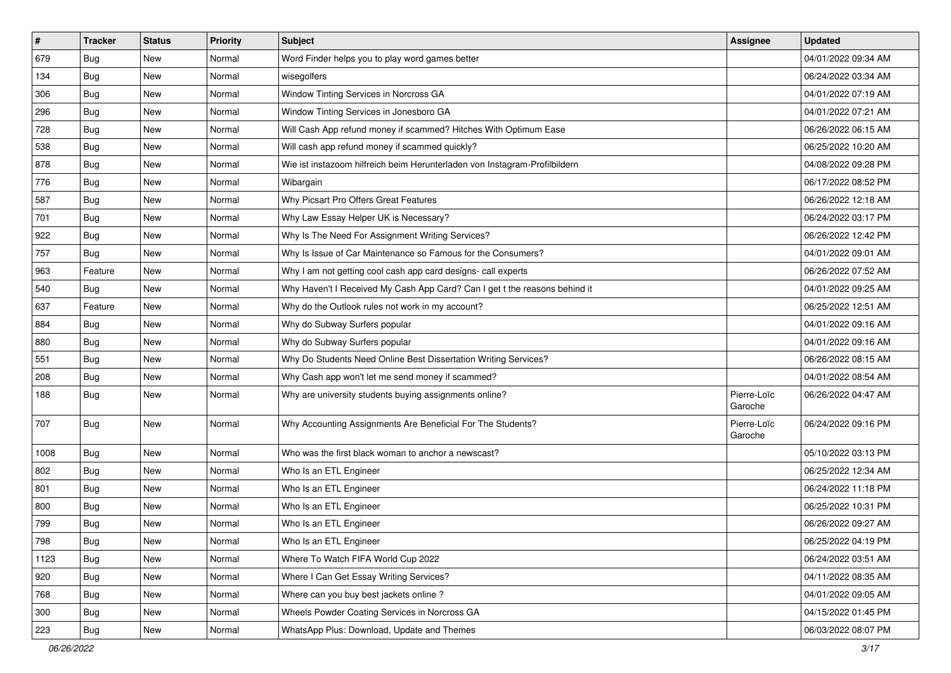| $\sharp$ | <b>Tracker</b> | <b>Status</b> | <b>Priority</b> | Subject                                                                    | <b>Assignee</b>        | <b>Updated</b>      |
|----------|----------------|---------------|-----------------|----------------------------------------------------------------------------|------------------------|---------------------|
| 679      | Bug            | New           | Normal          | Word Finder helps you to play word games better                            |                        | 04/01/2022 09:34 AM |
| 134      | <b>Bug</b>     | <b>New</b>    | Normal          | wisegolfers                                                                |                        | 06/24/2022 03:34 AM |
| 306      | Bug            | New           | Normal          | Window Tinting Services in Norcross GA                                     |                        | 04/01/2022 07:19 AM |
| 296      | Bug            | New           | Normal          | Window Tinting Services in Jonesboro GA                                    |                        | 04/01/2022 07:21 AM |
| 728      | <b>Bug</b>     | New           | Normal          | Will Cash App refund money if scammed? Hitches With Optimum Ease           |                        | 06/26/2022 06:15 AM |
| 538      | <b>Bug</b>     | New           | Normal          | Will cash app refund money if scammed quickly?                             |                        | 06/25/2022 10:20 AM |
| 878      | <b>Bug</b>     | New           | Normal          | Wie ist instazoom hilfreich beim Herunterladen von Instagram-Profilbildern |                        | 04/08/2022 09:28 PM |
| 776      | Bug            | New           | Normal          | Wibargain                                                                  |                        | 06/17/2022 08:52 PM |
| 587      | <b>Bug</b>     | New           | Normal          | Why Picsart Pro Offers Great Features                                      |                        | 06/26/2022 12:18 AM |
| 701      | <b>Bug</b>     | <b>New</b>    | Normal          | Why Law Essay Helper UK is Necessary?                                      |                        | 06/24/2022 03:17 PM |
| 922      | <b>Bug</b>     | New           | Normal          | Why Is The Need For Assignment Writing Services?                           |                        | 06/26/2022 12:42 PM |
| 757      | Bug            | <b>New</b>    | Normal          | Why Is Issue of Car Maintenance so Famous for the Consumers?               |                        | 04/01/2022 09:01 AM |
| 963      | Feature        | New           | Normal          | Why I am not getting cool cash app card designs- call experts              |                        | 06/26/2022 07:52 AM |
| 540      | Bug            | New           | Normal          | Why Haven't I Received My Cash App Card? Can I get t the reasons behind it |                        | 04/01/2022 09:25 AM |
| 637      | Feature        | <b>New</b>    | Normal          | Why do the Outlook rules not work in my account?                           |                        | 06/25/2022 12:51 AM |
| 884      | Bug            | New           | Normal          | Why do Subway Surfers popular                                              |                        | 04/01/2022 09:16 AM |
| 880      | <b>Bug</b>     | New           | Normal          | Why do Subway Surfers popular                                              |                        | 04/01/2022 09:16 AM |
| 551      | <b>Bug</b>     | New           | Normal          | Why Do Students Need Online Best Dissertation Writing Services?            |                        | 06/26/2022 08:15 AM |
| 208      | <b>Bug</b>     | New           | Normal          | Why Cash app won't let me send money if scammed?                           |                        | 04/01/2022 08:54 AM |
| 188      | Bug            | <b>New</b>    | Normal          | Why are university students buying assignments online?                     | Pierre-Loïc<br>Garoche | 06/26/2022 04:47 AM |
| 707      | Bug            | New           | Normal          | Why Accounting Assignments Are Beneficial For The Students?                | Pierre-Loïc<br>Garoche | 06/24/2022 09:16 PM |
| 1008     | Bug            | New           | Normal          | Who was the first black woman to anchor a newscast?                        |                        | 05/10/2022 03:13 PM |
| 802      | <b>Bug</b>     | New           | Normal          | Who Is an ETL Engineer                                                     |                        | 06/25/2022 12:34 AM |
| 801      | <b>Bug</b>     | New           | Normal          | Who Is an ETL Engineer                                                     |                        | 06/24/2022 11:18 PM |
| 800      | <b>Bug</b>     | New           | Normal          | Who Is an ETL Engineer                                                     |                        | 06/25/2022 10:31 PM |
| 799      | <b>Bug</b>     | <b>New</b>    | Normal          | Who Is an ETL Engineer                                                     |                        | 06/26/2022 09:27 AM |
| 798      | Bug            | New           | Normal          | Who Is an ETL Engineer                                                     |                        | 06/25/2022 04:19 PM |
| 1123     | Bug            | <b>New</b>    | Normal          | Where To Watch FIFA World Cup 2022                                         |                        | 06/24/2022 03:51 AM |
| 920      | Bug            | New           | Normal          | Where I Can Get Essay Writing Services?                                    |                        | 04/11/2022 08:35 AM |
| 768      | Bug            | New           | Normal          | Where can you buy best jackets online?                                     |                        | 04/01/2022 09:05 AM |
| 300      | <b>Bug</b>     | New           | Normal          | Wheels Powder Coating Services in Norcross GA                              |                        | 04/15/2022 01:45 PM |
| 223      | <b>Bug</b>     | New           | Normal          | WhatsApp Plus: Download, Update and Themes                                 |                        | 06/03/2022 08:07 PM |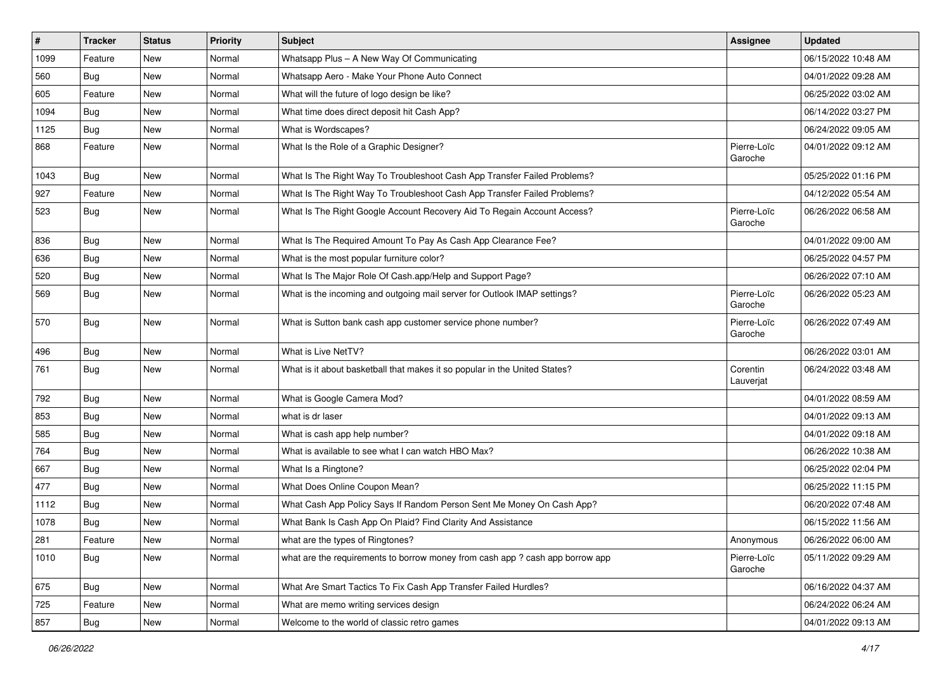| #    | <b>Tracker</b> | <b>Status</b> | <b>Priority</b> | <b>Subject</b>                                                                | <b>Assignee</b>        | <b>Updated</b>      |
|------|----------------|---------------|-----------------|-------------------------------------------------------------------------------|------------------------|---------------------|
| 1099 | Feature        | New           | Normal          | Whatsapp Plus - A New Way Of Communicating                                    |                        | 06/15/2022 10:48 AM |
| 560  | <b>Bug</b>     | New           | Normal          | Whatsapp Aero - Make Your Phone Auto Connect                                  |                        | 04/01/2022 09:28 AM |
| 605  | Feature        | New           | Normal          | What will the future of logo design be like?                                  |                        | 06/25/2022 03:02 AM |
| 1094 | Bug            | New           | Normal          | What time does direct deposit hit Cash App?                                   |                        | 06/14/2022 03:27 PM |
| 1125 | Bug            | New           | Normal          | What is Wordscapes?                                                           |                        | 06/24/2022 09:05 AM |
| 868  | Feature        | New           | Normal          | What Is the Role of a Graphic Designer?                                       | Pierre-Loïc<br>Garoche | 04/01/2022 09:12 AM |
| 1043 | <b>Bug</b>     | New           | Normal          | What Is The Right Way To Troubleshoot Cash App Transfer Failed Problems?      |                        | 05/25/2022 01:16 PM |
| 927  | Feature        | New           | Normal          | What Is The Right Way To Troubleshoot Cash App Transfer Failed Problems?      |                        | 04/12/2022 05:54 AM |
| 523  | <b>Bug</b>     | New           | Normal          | What Is The Right Google Account Recovery Aid To Regain Account Access?       | Pierre-Loïc<br>Garoche | 06/26/2022 06:58 AM |
| 836  | Bug            | New           | Normal          | What Is The Required Amount To Pay As Cash App Clearance Fee?                 |                        | 04/01/2022 09:00 AM |
| 636  | Bug            | New           | Normal          | What is the most popular furniture color?                                     |                        | 06/25/2022 04:57 PM |
| 520  | Bug            | New           | Normal          | What Is The Major Role Of Cash.app/Help and Support Page?                     |                        | 06/26/2022 07:10 AM |
| 569  | <b>Bug</b>     | New           | Normal          | What is the incoming and outgoing mail server for Outlook IMAP settings?      | Pierre-Loïc<br>Garoche | 06/26/2022 05:23 AM |
| 570  | Bug            | New           | Normal          | What is Sutton bank cash app customer service phone number?                   | Pierre-Loïc<br>Garoche | 06/26/2022 07:49 AM |
| 496  | <b>Bug</b>     | New           | Normal          | What is Live NetTV?                                                           |                        | 06/26/2022 03:01 AM |
| 761  | <b>Bug</b>     | New           | Normal          | What is it about basketball that makes it so popular in the United States?    | Corentin<br>Lauverjat  | 06/24/2022 03:48 AM |
| 792  | <b>Bug</b>     | New           | Normal          | What is Google Camera Mod?                                                    |                        | 04/01/2022 08:59 AM |
| 853  | <b>Bug</b>     | <b>New</b>    | Normal          | what is dr laser                                                              |                        | 04/01/2022 09:13 AM |
| 585  | Bug            | New           | Normal          | What is cash app help number?                                                 |                        | 04/01/2022 09:18 AM |
| 764  | Bug            | New           | Normal          | What is available to see what I can watch HBO Max?                            |                        | 06/26/2022 10:38 AM |
| 667  | <b>Bug</b>     | New           | Normal          | What Is a Ringtone?                                                           |                        | 06/25/2022 02:04 PM |
| 477  | Bug            | New           | Normal          | What Does Online Coupon Mean?                                                 |                        | 06/25/2022 11:15 PM |
| 1112 | Bug            | New           | Normal          | What Cash App Policy Says If Random Person Sent Me Money On Cash App?         |                        | 06/20/2022 07:48 AM |
| 1078 | <b>Bug</b>     | New           | Normal          | What Bank Is Cash App On Plaid? Find Clarity And Assistance                   |                        | 06/15/2022 11:56 AM |
| 281  | Feature        | New           | Normal          | what are the types of Ringtones?                                              | Anonymous              | 06/26/2022 06:00 AM |
| 1010 | <b>Bug</b>     | New           | Normal          | what are the requirements to borrow money from cash app ? cash app borrow app | Pierre-Loïc<br>Garoche | 05/11/2022 09:29 AM |
| 675  | <b>Bug</b>     | New           | Normal          | What Are Smart Tactics To Fix Cash App Transfer Failed Hurdles?               |                        | 06/16/2022 04:37 AM |
| 725  | Feature        | New           | Normal          | What are memo writing services design                                         |                        | 06/24/2022 06:24 AM |
| 857  | Bug            | New           | Normal          | Welcome to the world of classic retro games                                   |                        | 04/01/2022 09:13 AM |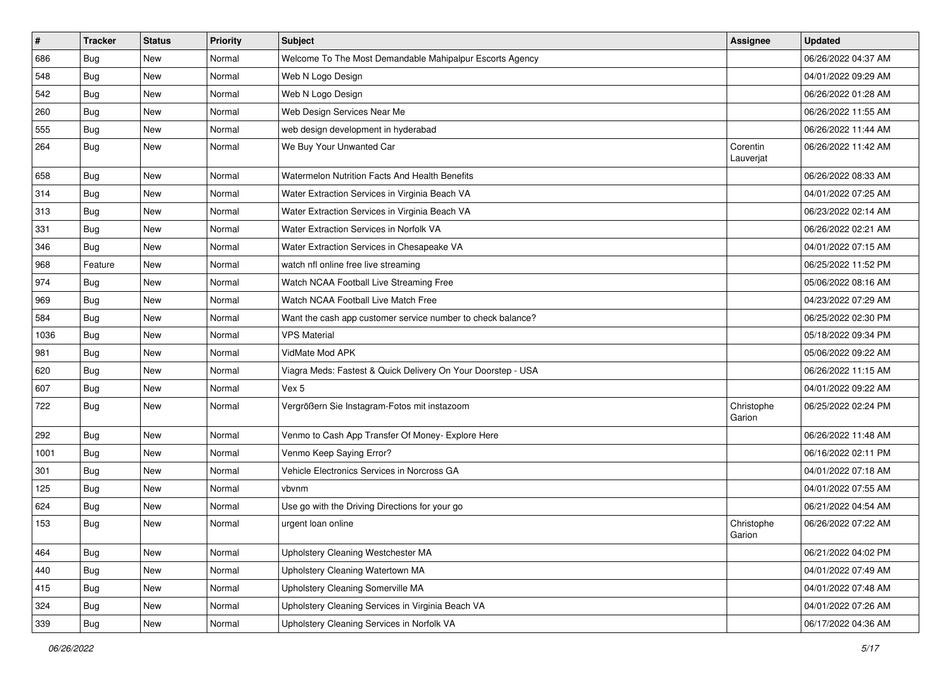| #    | <b>Tracker</b> | <b>Status</b> | Priority | <b>Subject</b>                                               | <b>Assignee</b>       | <b>Updated</b>      |
|------|----------------|---------------|----------|--------------------------------------------------------------|-----------------------|---------------------|
| 686  | Bug            | New           | Normal   | Welcome To The Most Demandable Mahipalpur Escorts Agency     |                       | 06/26/2022 04:37 AM |
| 548  | Bug            | New           | Normal   | Web N Logo Design                                            |                       | 04/01/2022 09:29 AM |
| 542  | Bug            | New           | Normal   | Web N Logo Design                                            |                       | 06/26/2022 01:28 AM |
| 260  | <b>Bug</b>     | New           | Normal   | Web Design Services Near Me                                  |                       | 06/26/2022 11:55 AM |
| 555  | Bug            | New           | Normal   | web design development in hyderabad                          |                       | 06/26/2022 11:44 AM |
| 264  | <b>Bug</b>     | New           | Normal   | We Buy Your Unwanted Car                                     | Corentin<br>Lauverjat | 06/26/2022 11:42 AM |
| 658  | Bug            | New           | Normal   | Watermelon Nutrition Facts And Health Benefits               |                       | 06/26/2022 08:33 AM |
| 314  | Bug            | New           | Normal   | Water Extraction Services in Virginia Beach VA               |                       | 04/01/2022 07:25 AM |
| 313  | Bug            | <b>New</b>    | Normal   | Water Extraction Services in Virginia Beach VA               |                       | 06/23/2022 02:14 AM |
| 331  | Bug            | New           | Normal   | Water Extraction Services in Norfolk VA                      |                       | 06/26/2022 02:21 AM |
| 346  | Bug            | <b>New</b>    | Normal   | Water Extraction Services in Chesapeake VA                   |                       | 04/01/2022 07:15 AM |
| 968  | Feature        | New           | Normal   | watch nfl online free live streaming                         |                       | 06/25/2022 11:52 PM |
| 974  | Bug            | New           | Normal   | Watch NCAA Football Live Streaming Free                      |                       | 05/06/2022 08:16 AM |
| 969  | <b>Bug</b>     | New           | Normal   | Watch NCAA Football Live Match Free                          |                       | 04/23/2022 07:29 AM |
| 584  | <b>Bug</b>     | New           | Normal   | Want the cash app customer service number to check balance?  |                       | 06/25/2022 02:30 PM |
| 1036 | Bug            | New           | Normal   | <b>VPS Material</b>                                          |                       | 05/18/2022 09:34 PM |
| 981  | Bug            | New           | Normal   | VidMate Mod APK                                              |                       | 05/06/2022 09:22 AM |
| 620  | <b>Bug</b>     | New           | Normal   | Viagra Meds: Fastest & Quick Delivery On Your Doorstep - USA |                       | 06/26/2022 11:15 AM |
| 607  | Bug            | New           | Normal   | Vex 5                                                        |                       | 04/01/2022 09:22 AM |
| 722  | Bug            | <b>New</b>    | Normal   | Vergrößern Sie Instagram-Fotos mit instazoom                 | Christophe<br>Garion  | 06/25/2022 02:24 PM |
| 292  | Bug            | New           | Normal   | Venmo to Cash App Transfer Of Money- Explore Here            |                       | 06/26/2022 11:48 AM |
| 1001 | <b>Bug</b>     | New           | Normal   | Venmo Keep Saying Error?                                     |                       | 06/16/2022 02:11 PM |
| 301  | <b>Bug</b>     | New           | Normal   | Vehicle Electronics Services in Norcross GA                  |                       | 04/01/2022 07:18 AM |
| 125  | Bug            | New           | Normal   | vbvnm                                                        |                       | 04/01/2022 07:55 AM |
| 624  | <b>Bug</b>     | New           | Normal   | Use go with the Driving Directions for your go               |                       | 06/21/2022 04:54 AM |
| 153  | <b>Bug</b>     | New           | Normal   | urgent loan online                                           | Christophe<br>Garion  | 06/26/2022 07:22 AM |
| 464  | Bug            | New           | Normal   | Upholstery Cleaning Westchester MA                           |                       | 06/21/2022 04:02 PM |
| 440  | Bug            | New           | Normal   | Upholstery Cleaning Watertown MA                             |                       | 04/01/2022 07:49 AM |
| 415  | Bug            | New           | Normal   | Upholstery Cleaning Somerville MA                            |                       | 04/01/2022 07:48 AM |
| 324  | <b>Bug</b>     | New           | Normal   | Upholstery Cleaning Services in Virginia Beach VA            |                       | 04/01/2022 07:26 AM |
| 339  | <b>Bug</b>     | New           | Normal   | Upholstery Cleaning Services in Norfolk VA                   |                       | 06/17/2022 04:36 AM |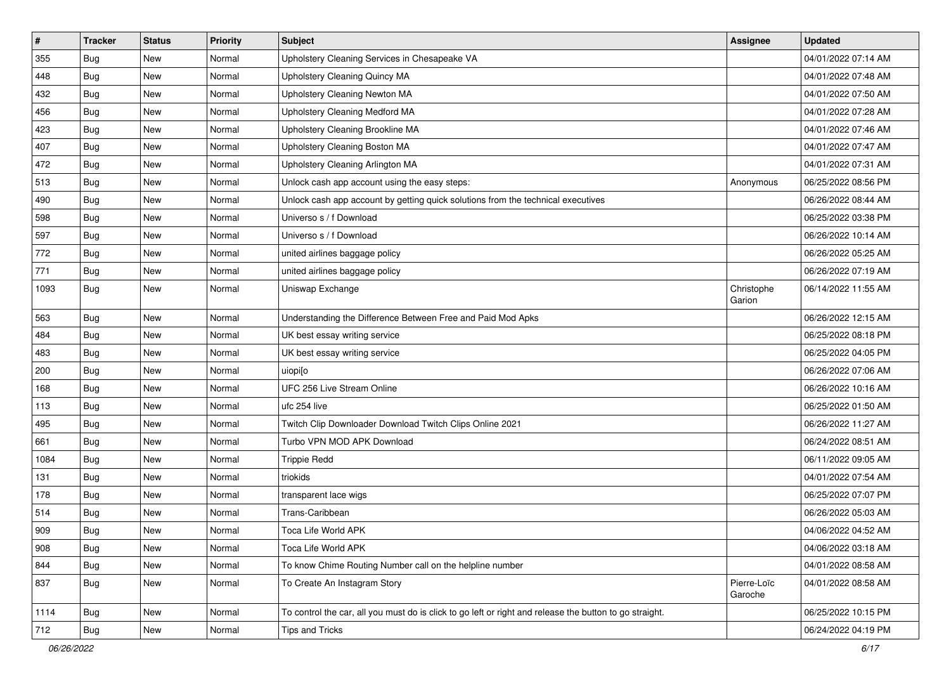| $\sharp$ | <b>Tracker</b> | <b>Status</b> | <b>Priority</b> | Subject                                                                                                 | Assignee               | <b>Updated</b>      |
|----------|----------------|---------------|-----------------|---------------------------------------------------------------------------------------------------------|------------------------|---------------------|
| 355      | Bug            | New           | Normal          | Upholstery Cleaning Services in Chesapeake VA                                                           |                        | 04/01/2022 07:14 AM |
| 448      | <b>Bug</b>     | <b>New</b>    | Normal          | Upholstery Cleaning Quincy MA                                                                           |                        | 04/01/2022 07:48 AM |
| 432      | Bug            | New           | Normal          | Upholstery Cleaning Newton MA                                                                           |                        | 04/01/2022 07:50 AM |
| 456      | Bug            | New           | Normal          | Upholstery Cleaning Medford MA                                                                          |                        | 04/01/2022 07:28 AM |
| 423      | <b>Bug</b>     | <b>New</b>    | Normal          | Upholstery Cleaning Brookline MA                                                                        |                        | 04/01/2022 07:46 AM |
| 407      | <b>Bug</b>     | New           | Normal          | Upholstery Cleaning Boston MA                                                                           |                        | 04/01/2022 07:47 AM |
| 472      | <b>Bug</b>     | New           | Normal          | Upholstery Cleaning Arlington MA                                                                        |                        | 04/01/2022 07:31 AM |
| 513      | <b>Bug</b>     | New           | Normal          | Unlock cash app account using the easy steps:                                                           | Anonymous              | 06/25/2022 08:56 PM |
| 490      | <b>Bug</b>     | New           | Normal          | Unlock cash app account by getting quick solutions from the technical executives                        |                        | 06/26/2022 08:44 AM |
| 598      | Bug            | <b>New</b>    | Normal          | Universo s / f Download                                                                                 |                        | 06/25/2022 03:38 PM |
| 597      | Bug            | New           | Normal          | Universo s / f Download                                                                                 |                        | 06/26/2022 10:14 AM |
| 772      | Bug            | New           | Normal          | united airlines baggage policy                                                                          |                        | 06/26/2022 05:25 AM |
| 771      | Bug            | <b>New</b>    | Normal          | united airlines baggage policy                                                                          |                        | 06/26/2022 07:19 AM |
| 1093     | <b>Bug</b>     | New           | Normal          | Uniswap Exchange                                                                                        | Christophe<br>Garion   | 06/14/2022 11:55 AM |
| 563      | Bug            | <b>New</b>    | Normal          | Understanding the Difference Between Free and Paid Mod Apks                                             |                        | 06/26/2022 12:15 AM |
| 484      | <b>Bug</b>     | New           | Normal          | UK best essay writing service                                                                           |                        | 06/25/2022 08:18 PM |
| 483      | Bug            | New           | Normal          | UK best essay writing service                                                                           |                        | 06/25/2022 04:05 PM |
| 200      | <b>Bug</b>     | New           | Normal          | uiopijo                                                                                                 |                        | 06/26/2022 07:06 AM |
| 168      | <b>Bug</b>     | New           | Normal          | UFC 256 Live Stream Online                                                                              |                        | 06/26/2022 10:16 AM |
| 113      | <b>Bug</b>     | New           | Normal          | ufc 254 live                                                                                            |                        | 06/25/2022 01:50 AM |
| 495      | <b>Bug</b>     | <b>New</b>    | Normal          | Twitch Clip Downloader Download Twitch Clips Online 2021                                                |                        | 06/26/2022 11:27 AM |
| 661      | <b>Bug</b>     | New           | Normal          | Turbo VPN MOD APK Download                                                                              |                        | 06/24/2022 08:51 AM |
| 1084     | Bug            | New           | Normal          | <b>Trippie Redd</b>                                                                                     |                        | 06/11/2022 09:05 AM |
| 131      | <b>Bug</b>     | New           | Normal          | triokids                                                                                                |                        | 04/01/2022 07:54 AM |
| 178      | <b>Bug</b>     | New           | Normal          | transparent lace wigs                                                                                   |                        | 06/25/2022 07:07 PM |
| 514      | Bug            | New           | Normal          | Trans-Caribbean                                                                                         |                        | 06/26/2022 05:03 AM |
| 909      | <b>Bug</b>     | New           | Normal          | Toca Life World APK                                                                                     |                        | 04/06/2022 04:52 AM |
| 908      | <b>Bug</b>     | New           | Normal          | Toca Life World APK                                                                                     |                        | 04/06/2022 03:18 AM |
| 844      | <b>Bug</b>     | New           | Normal          | To know Chime Routing Number call on the helpline number                                                |                        | 04/01/2022 08:58 AM |
| 837      | <b>Bug</b>     | New           | Normal          | To Create An Instagram Story                                                                            | Pierre-Loïc<br>Garoche | 04/01/2022 08:58 AM |
| 1114     | <b>Bug</b>     | New           | Normal          | To control the car, all you must do is click to go left or right and release the button to go straight. |                        | 06/25/2022 10:15 PM |
| 712      | <b>Bug</b>     | New           | Normal          | <b>Tips and Tricks</b>                                                                                  |                        | 06/24/2022 04:19 PM |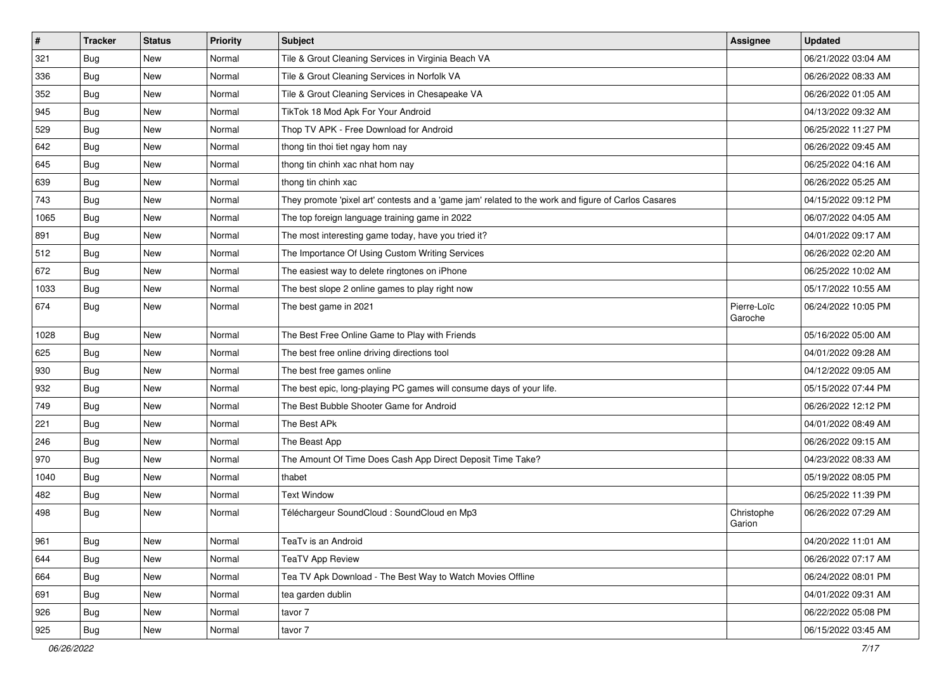| $\sharp$ | <b>Tracker</b> | <b>Status</b> | <b>Priority</b> | <b>Subject</b>                                                                                      | Assignee               | <b>Updated</b>      |
|----------|----------------|---------------|-----------------|-----------------------------------------------------------------------------------------------------|------------------------|---------------------|
| 321      | <b>Bug</b>     | New           | Normal          | Tile & Grout Cleaning Services in Virginia Beach VA                                                 |                        | 06/21/2022 03:04 AM |
| 336      | <b>Bug</b>     | <b>New</b>    | Normal          | Tile & Grout Cleaning Services in Norfolk VA                                                        |                        | 06/26/2022 08:33 AM |
| 352      | Bug            | New           | Normal          | Tile & Grout Cleaning Services in Chesapeake VA                                                     |                        | 06/26/2022 01:05 AM |
| 945      | Bug            | New           | Normal          | TikTok 18 Mod Apk For Your Android                                                                  |                        | 04/13/2022 09:32 AM |
| 529      | <b>Bug</b>     | <b>New</b>    | Normal          | Thop TV APK - Free Download for Android                                                             |                        | 06/25/2022 11:27 PM |
| 642      | <b>Bug</b>     | New           | Normal          | thong tin thoi tiet ngay hom nay                                                                    |                        | 06/26/2022 09:45 AM |
| 645      | <b>Bug</b>     | New           | Normal          | thong tin chinh xac nhat hom nay                                                                    |                        | 06/25/2022 04:16 AM |
| 639      | Bug            | New           | Normal          | thong tin chinh xac                                                                                 |                        | 06/26/2022 05:25 AM |
| 743      | <b>Bug</b>     | New           | Normal          | They promote 'pixel art' contests and a 'game jam' related to the work and figure of Carlos Casares |                        | 04/15/2022 09:12 PM |
| 1065     | Bug            | <b>New</b>    | Normal          | The top foreign language training game in 2022                                                      |                        | 06/07/2022 04:05 AM |
| 891      | Bug            | New           | Normal          | The most interesting game today, have you tried it?                                                 |                        | 04/01/2022 09:17 AM |
| 512      | <b>Bug</b>     | New           | Normal          | The Importance Of Using Custom Writing Services                                                     |                        | 06/26/2022 02:20 AM |
| 672      | <b>Bug</b>     | New           | Normal          | The easiest way to delete ringtones on iPhone                                                       |                        | 06/25/2022 10:02 AM |
| 1033     | <b>Bug</b>     | New           | Normal          | The best slope 2 online games to play right now                                                     |                        | 05/17/2022 10:55 AM |
| 674      | <b>Bug</b>     | New           | Normal          | The best game in 2021                                                                               | Pierre-Loïc<br>Garoche | 06/24/2022 10:05 PM |
| 1028     | <b>Bug</b>     | <b>New</b>    | Normal          | The Best Free Online Game to Play with Friends                                                      |                        | 05/16/2022 05:00 AM |
| 625      | Bug            | <b>New</b>    | Normal          | The best free online driving directions tool                                                        |                        | 04/01/2022 09:28 AM |
| 930      | <b>Bug</b>     | New           | Normal          | The best free games online                                                                          |                        | 04/12/2022 09:05 AM |
| 932      | <b>Bug</b>     | <b>New</b>    | Normal          | The best epic, long-playing PC games will consume days of your life.                                |                        | 05/15/2022 07:44 PM |
| 749      | <b>Bug</b>     | New           | Normal          | The Best Bubble Shooter Game for Android                                                            |                        | 06/26/2022 12:12 PM |
| 221      | <b>Bug</b>     | <b>New</b>    | Normal          | The Best APk                                                                                        |                        | 04/01/2022 08:49 AM |
| 246      | <b>Bug</b>     | <b>New</b>    | Normal          | The Beast App                                                                                       |                        | 06/26/2022 09:15 AM |
| 970      | <b>Bug</b>     | New           | Normal          | The Amount Of Time Does Cash App Direct Deposit Time Take?                                          |                        | 04/23/2022 08:33 AM |
| 1040     | <b>Bug</b>     | New           | Normal          | thabet                                                                                              |                        | 05/19/2022 08:05 PM |
| 482      | <b>Bug</b>     | New           | Normal          | <b>Text Window</b>                                                                                  |                        | 06/25/2022 11:39 PM |
| 498      | <b>Bug</b>     | New           | Normal          | Téléchargeur SoundCloud : SoundCloud en Mp3                                                         | Christophe<br>Garion   | 06/26/2022 07:29 AM |
| 961      | Bug            | New           | Normal          | TeaTv is an Android                                                                                 |                        | 04/20/2022 11:01 AM |
| 644      | Bug            | New           | Normal          | <b>TeaTV App Review</b>                                                                             |                        | 06/26/2022 07:17 AM |
| 664      | <b>Bug</b>     | <b>New</b>    | Normal          | Tea TV Apk Download - The Best Way to Watch Movies Offline                                          |                        | 06/24/2022 08:01 PM |
| 691      | Bug            | New           | Normal          | tea garden dublin                                                                                   |                        | 04/01/2022 09:31 AM |
| 926      | <b>Bug</b>     | New           | Normal          | tavor 7                                                                                             |                        | 06/22/2022 05:08 PM |
| 925      | <b>Bug</b>     | New           | Normal          | tavor 7                                                                                             |                        | 06/15/2022 03:45 AM |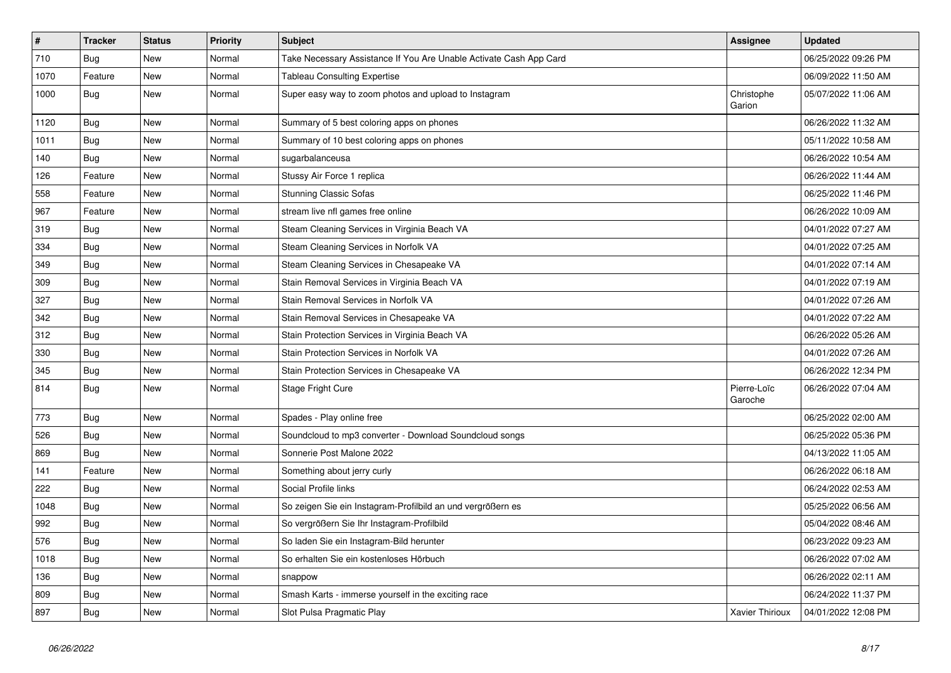| $\vert$ # | <b>Tracker</b> | <b>Status</b> | Priority | Subject                                                            | <b>Assignee</b>        | <b>Updated</b>      |
|-----------|----------------|---------------|----------|--------------------------------------------------------------------|------------------------|---------------------|
| 710       | Bug            | <b>New</b>    | Normal   | Take Necessary Assistance If You Are Unable Activate Cash App Card |                        | 06/25/2022 09:26 PM |
| 1070      | Feature        | New           | Normal   | <b>Tableau Consulting Expertise</b>                                |                        | 06/09/2022 11:50 AM |
| 1000      | <b>Bug</b>     | New           | Normal   | Super easy way to zoom photos and upload to Instagram              | Christophe<br>Garion   | 05/07/2022 11:06 AM |
| 1120      | Bug            | New           | Normal   | Summary of 5 best coloring apps on phones                          |                        | 06/26/2022 11:32 AM |
| 1011      | <b>Bug</b>     | <b>New</b>    | Normal   | Summary of 10 best coloring apps on phones                         |                        | 05/11/2022 10:58 AM |
| 140       | <b>Bug</b>     | <b>New</b>    | Normal   | sugarbalanceusa                                                    |                        | 06/26/2022 10:54 AM |
| 126       | Feature        | New           | Normal   | Stussy Air Force 1 replica                                         |                        | 06/26/2022 11:44 AM |
| 558       | Feature        | <b>New</b>    | Normal   | <b>Stunning Classic Sofas</b>                                      |                        | 06/25/2022 11:46 PM |
| 967       | Feature        | New           | Normal   | stream live nfl games free online                                  |                        | 06/26/2022 10:09 AM |
| 319       | Bug            | New           | Normal   | Steam Cleaning Services in Virginia Beach VA                       |                        | 04/01/2022 07:27 AM |
| 334       | Bug            | New           | Normal   | Steam Cleaning Services in Norfolk VA                              |                        | 04/01/2022 07:25 AM |
| 349       | Bug            | <b>New</b>    | Normal   | Steam Cleaning Services in Chesapeake VA                           |                        | 04/01/2022 07:14 AM |
| 309       | Bug            | <b>New</b>    | Normal   | Stain Removal Services in Virginia Beach VA                        |                        | 04/01/2022 07:19 AM |
| 327       | Bug            | New           | Normal   | Stain Removal Services in Norfolk VA                               |                        | 04/01/2022 07:26 AM |
| 342       | Bug            | New           | Normal   | Stain Removal Services in Chesapeake VA                            |                        | 04/01/2022 07:22 AM |
| 312       | <b>Bug</b>     | New           | Normal   | Stain Protection Services in Virginia Beach VA                     |                        | 06/26/2022 05:26 AM |
| 330       | Bug            | New           | Normal   | Stain Protection Services in Norfolk VA                            |                        | 04/01/2022 07:26 AM |
| 345       | Bug            | New           | Normal   | Stain Protection Services in Chesapeake VA                         |                        | 06/26/2022 12:34 PM |
| 814       | <b>Bug</b>     | New           | Normal   | Stage Fright Cure                                                  | Pierre-Loïc<br>Garoche | 06/26/2022 07:04 AM |
| 773       | Bug            | New           | Normal   | Spades - Play online free                                          |                        | 06/25/2022 02:00 AM |
| 526       | Bug            | New           | Normal   | Soundcloud to mp3 converter - Download Soundcloud songs            |                        | 06/25/2022 05:36 PM |
| 869       | Bug            | New           | Normal   | Sonnerie Post Malone 2022                                          |                        | 04/13/2022 11:05 AM |
| 141       | Feature        | New           | Normal   | Something about jerry curly                                        |                        | 06/26/2022 06:18 AM |
| 222       | Bug            | New           | Normal   | Social Profile links                                               |                        | 06/24/2022 02:53 AM |
| 1048      | Bug            | New           | Normal   | So zeigen Sie ein Instagram-Profilbild an und vergrößern es        |                        | 05/25/2022 06:56 AM |
| 992       | Bug            | New           | Normal   | So vergrößern Sie Ihr Instagram-Profilbild                         |                        | 05/04/2022 08:46 AM |
| 576       | <b>Bug</b>     | <b>New</b>    | Normal   | So laden Sie ein Instagram-Bild herunter                           |                        | 06/23/2022 09:23 AM |
| 1018      | Bug            | New           | Normal   | So erhalten Sie ein kostenloses Hörbuch                            |                        | 06/26/2022 07:02 AM |
| 136       | <b>Bug</b>     | New           | Normal   | snappow                                                            |                        | 06/26/2022 02:11 AM |
| 809       | Bug            | New           | Normal   | Smash Karts - immerse yourself in the exciting race                |                        | 06/24/2022 11:37 PM |
| 897       | Bug            | New           | Normal   | Slot Pulsa Pragmatic Play                                          | <b>Xavier Thirioux</b> | 04/01/2022 12:08 PM |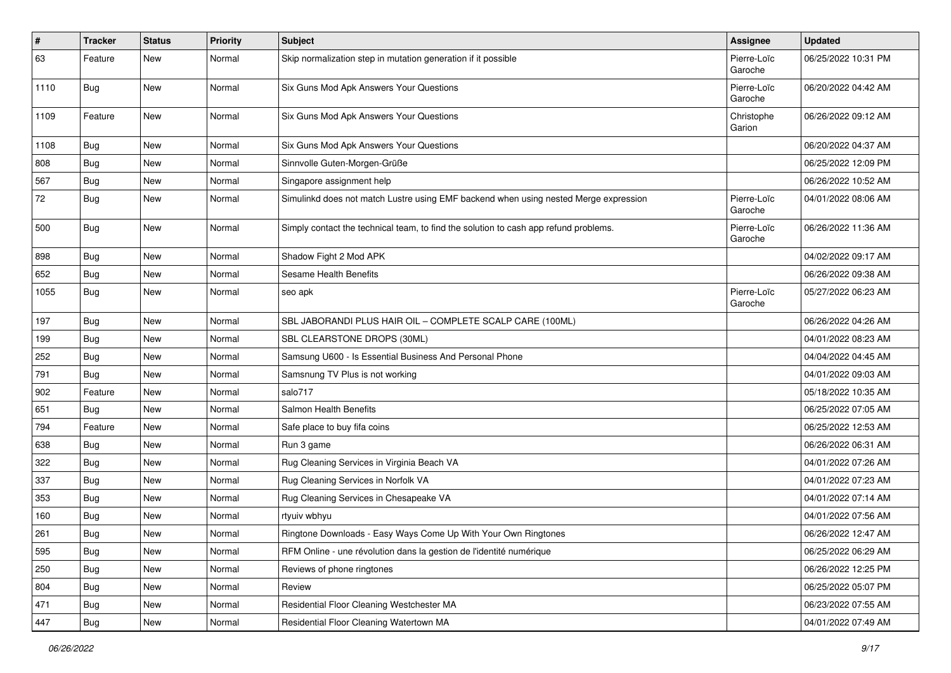| #    | <b>Tracker</b> | <b>Status</b> | <b>Priority</b> | <b>Subject</b>                                                                       | <b>Assignee</b>        | <b>Updated</b>      |
|------|----------------|---------------|-----------------|--------------------------------------------------------------------------------------|------------------------|---------------------|
| 63   | Feature        | New           | Normal          | Skip normalization step in mutation generation if it possible                        | Pierre-Loïc<br>Garoche | 06/25/2022 10:31 PM |
| 1110 | <b>Bug</b>     | New           | Normal          | Six Guns Mod Apk Answers Your Questions                                              | Pierre-Loïc<br>Garoche | 06/20/2022 04:42 AM |
| 1109 | Feature        | New           | Normal          | Six Guns Mod Apk Answers Your Questions                                              | Christophe<br>Garion   | 06/26/2022 09:12 AM |
| 1108 | Bug            | New           | Normal          | Six Guns Mod Apk Answers Your Questions                                              |                        | 06/20/2022 04:37 AM |
| 808  | Bug            | New           | Normal          | Sinnvolle Guten-Morgen-Grüße                                                         |                        | 06/25/2022 12:09 PM |
| 567  | <b>Bug</b>     | New           | Normal          | Singapore assignment help                                                            |                        | 06/26/2022 10:52 AM |
| 72   | <b>Bug</b>     | New           | Normal          | Simulinkd does not match Lustre using EMF backend when using nested Merge expression | Pierre-Loïc<br>Garoche | 04/01/2022 08:06 AM |
| 500  | <b>Bug</b>     | New           | Normal          | Simply contact the technical team, to find the solution to cash app refund problems. | Pierre-Loïc<br>Garoche | 06/26/2022 11:36 AM |
| 898  | <b>Bug</b>     | New           | Normal          | Shadow Fight 2 Mod APK                                                               |                        | 04/02/2022 09:17 AM |
| 652  | <b>Bug</b>     | New           | Normal          | Sesame Health Benefits                                                               |                        | 06/26/2022 09:38 AM |
| 1055 | <b>Bug</b>     | New           | Normal          | seo apk                                                                              | Pierre-Loïc<br>Garoche | 05/27/2022 06:23 AM |
| 197  | <b>Bug</b>     | New           | Normal          | SBL JABORANDI PLUS HAIR OIL - COMPLETE SCALP CARE (100ML)                            |                        | 06/26/2022 04:26 AM |
| 199  | Bug            | New           | Normal          | SBL CLEARSTONE DROPS (30ML)                                                          |                        | 04/01/2022 08:23 AM |
| 252  | Bug            | New           | Normal          | Samsung U600 - Is Essential Business And Personal Phone                              |                        | 04/04/2022 04:45 AM |
| 791  | <b>Bug</b>     | New           | Normal          | Samsnung TV Plus is not working                                                      |                        | 04/01/2022 09:03 AM |
| 902  | Feature        | New           | Normal          | salo717                                                                              |                        | 05/18/2022 10:35 AM |
| 651  | Bug            | New           | Normal          | Salmon Health Benefits                                                               |                        | 06/25/2022 07:05 AM |
| 794  | Feature        | New           | Normal          | Safe place to buy fifa coins                                                         |                        | 06/25/2022 12:53 AM |
| 638  | Bug            | New           | Normal          | Run 3 game                                                                           |                        | 06/26/2022 06:31 AM |
| 322  | Bug            | New           | Normal          | Rug Cleaning Services in Virginia Beach VA                                           |                        | 04/01/2022 07:26 AM |
| 337  | <b>Bug</b>     | New           | Normal          | Rug Cleaning Services in Norfolk VA                                                  |                        | 04/01/2022 07:23 AM |
| 353  | Bug            | New           | Normal          | Rug Cleaning Services in Chesapeake VA                                               |                        | 04/01/2022 07:14 AM |
| 160  | <b>Bug</b>     | New           | Normal          | rtyuiv wbhyu                                                                         |                        | 04/01/2022 07:56 AM |
| 261  | Bug            | New           | Normal          | Ringtone Downloads - Easy Ways Come Up With Your Own Ringtones                       |                        | 06/26/2022 12:47 AM |
| 595  | Bug            | New           | Normal          | RFM Online - une révolution dans la gestion de l'identité numérique                  |                        | 06/25/2022 06:29 AM |
| 250  | <b>Bug</b>     | New           | Normal          | Reviews of phone ringtones                                                           |                        | 06/26/2022 12:25 PM |
| 804  | <b>Bug</b>     | New           | Normal          | Review                                                                               |                        | 06/25/2022 05:07 PM |
| 471  | <b>Bug</b>     | New           | Normal          | Residential Floor Cleaning Westchester MA                                            |                        | 06/23/2022 07:55 AM |
| 447  | Bug            | New           | Normal          | Residential Floor Cleaning Watertown MA                                              |                        | 04/01/2022 07:49 AM |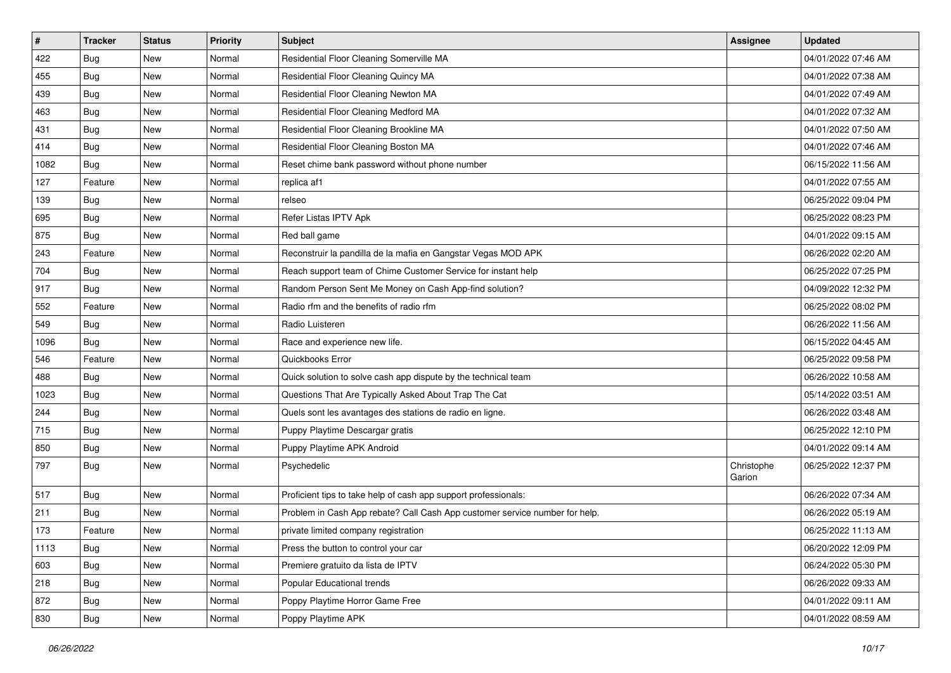| $\sharp$ | <b>Tracker</b> | <b>Status</b> | <b>Priority</b> | <b>Subject</b>                                                              | <b>Assignee</b>      | <b>Updated</b>      |
|----------|----------------|---------------|-----------------|-----------------------------------------------------------------------------|----------------------|---------------------|
| 422      | Bug            | New           | Normal          | Residential Floor Cleaning Somerville MA                                    |                      | 04/01/2022 07:46 AM |
| 455      | <b>Bug</b>     | <b>New</b>    | Normal          | Residential Floor Cleaning Quincy MA                                        |                      | 04/01/2022 07:38 AM |
| 439      | <b>Bug</b>     | New           | Normal          | Residential Floor Cleaning Newton MA                                        |                      | 04/01/2022 07:49 AM |
| 463      | <b>Bug</b>     | New           | Normal          | Residential Floor Cleaning Medford MA                                       |                      | 04/01/2022 07:32 AM |
| 431      | <b>Bug</b>     | New           | Normal          | Residential Floor Cleaning Brookline MA                                     |                      | 04/01/2022 07:50 AM |
| 414      | <b>Bug</b>     | New           | Normal          | Residential Floor Cleaning Boston MA                                        |                      | 04/01/2022 07:46 AM |
| 1082     | <b>Bug</b>     | New           | Normal          | Reset chime bank password without phone number                              |                      | 06/15/2022 11:56 AM |
| 127      | Feature        | New           | Normal          | replica af1                                                                 |                      | 04/01/2022 07:55 AM |
| 139      | <b>Bug</b>     | New           | Normal          | relseo                                                                      |                      | 06/25/2022 09:04 PM |
| 695      | <b>Bug</b>     | <b>New</b>    | Normal          | Refer Listas IPTV Apk                                                       |                      | 06/25/2022 08:23 PM |
| 875      | Bug            | New           | Normal          | Red ball game                                                               |                      | 04/01/2022 09:15 AM |
| 243      | Feature        | <b>New</b>    | Normal          | Reconstruir la pandilla de la mafia en Gangstar Vegas MOD APK               |                      | 06/26/2022 02:20 AM |
| 704      | <b>Bug</b>     | New           | Normal          | Reach support team of Chime Customer Service for instant help               |                      | 06/25/2022 07:25 PM |
| 917      | Bug            | New           | Normal          | Random Person Sent Me Money on Cash App-find solution?                      |                      | 04/09/2022 12:32 PM |
| 552      | Feature        | <b>New</b>    | Normal          | Radio rfm and the benefits of radio rfm                                     |                      | 06/25/2022 08:02 PM |
| 549      | <b>Bug</b>     | New           | Normal          | Radio Luisteren                                                             |                      | 06/26/2022 11:56 AM |
| 1096     | Bug            | <b>New</b>    | Normal          | Race and experience new life.                                               |                      | 06/15/2022 04:45 AM |
| 546      | Feature        | <b>New</b>    | Normal          | Quickbooks Error                                                            |                      | 06/25/2022 09:58 PM |
| 488      | Bug            | New           | Normal          | Quick solution to solve cash app dispute by the technical team              |                      | 06/26/2022 10:58 AM |
| 1023     | Bug            | <b>New</b>    | Normal          | Questions That Are Typically Asked About Trap The Cat                       |                      | 05/14/2022 03:51 AM |
| 244      | Bug            | New           | Normal          | Quels sont les avantages des stations de radio en ligne.                    |                      | 06/26/2022 03:48 AM |
| 715      | <b>Bug</b>     | New           | Normal          | Puppy Playtime Descargar gratis                                             |                      | 06/25/2022 12:10 PM |
| 850      | Bug            | New           | Normal          | Puppy Playtime APK Android                                                  |                      | 04/01/2022 09:14 AM |
| 797      | Bug            | New           | Normal          | Psychedelic                                                                 | Christophe<br>Garion | 06/25/2022 12:37 PM |
| 517      | Bug            | New           | Normal          | Proficient tips to take help of cash app support professionals:             |                      | 06/26/2022 07:34 AM |
| 211      | <b>Bug</b>     | <b>New</b>    | Normal          | Problem in Cash App rebate? Call Cash App customer service number for help. |                      | 06/26/2022 05:19 AM |
| 173      | Feature        | <b>New</b>    | Normal          | private limited company registration                                        |                      | 06/25/2022 11:13 AM |
| 1113     | <b>Bug</b>     | New           | Normal          | Press the button to control your car                                        |                      | 06/20/2022 12:09 PM |
| 603      | Bug            | New           | Normal          | Premiere gratuito da lista de IPTV                                          |                      | 06/24/2022 05:30 PM |
| 218      | Bug            | New           | Normal          | Popular Educational trends                                                  |                      | 06/26/2022 09:33 AM |
| 872      | <b>Bug</b>     | New           | Normal          | Poppy Playtime Horror Game Free                                             |                      | 04/01/2022 09:11 AM |
| 830      | <b>Bug</b>     | New           | Normal          | Poppy Playtime APK                                                          |                      | 04/01/2022 08:59 AM |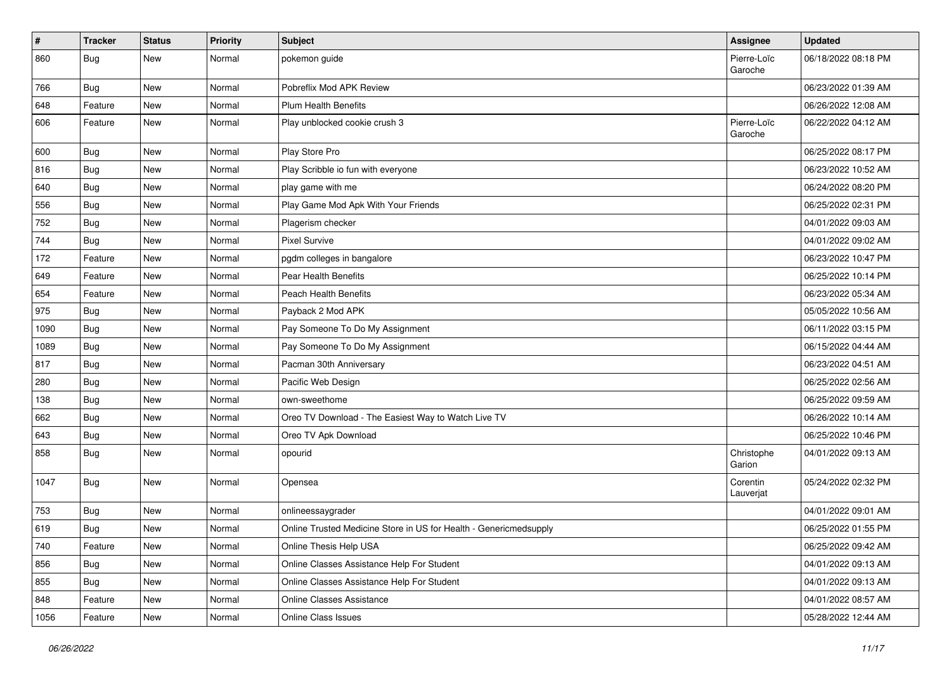| #    | <b>Tracker</b> | <b>Status</b> | Priority | Subject                                                           | Assignee               | <b>Updated</b>      |
|------|----------------|---------------|----------|-------------------------------------------------------------------|------------------------|---------------------|
| 860  | <b>Bug</b>     | New           | Normal   | pokemon guide                                                     | Pierre-Loïc<br>Garoche | 06/18/2022 08:18 PM |
| 766  | <b>Bug</b>     | New           | Normal   | Pobreflix Mod APK Review                                          |                        | 06/23/2022 01:39 AM |
| 648  | Feature        | New           | Normal   | <b>Plum Health Benefits</b>                                       |                        | 06/26/2022 12:08 AM |
| 606  | Feature        | New           | Normal   | Play unblocked cookie crush 3                                     | Pierre-Loïc<br>Garoche | 06/22/2022 04:12 AM |
| 600  | <b>Bug</b>     | New           | Normal   | Play Store Pro                                                    |                        | 06/25/2022 08:17 PM |
| 816  | <b>Bug</b>     | New           | Normal   | Play Scribble io fun with everyone                                |                        | 06/23/2022 10:52 AM |
| 640  | <b>Bug</b>     | New           | Normal   | play game with me                                                 |                        | 06/24/2022 08:20 PM |
| 556  | Bug            | New           | Normal   | Play Game Mod Apk With Your Friends                               |                        | 06/25/2022 02:31 PM |
| 752  | <b>Bug</b>     | New           | Normal   | Plagerism checker                                                 |                        | 04/01/2022 09:03 AM |
| 744  | <b>Bug</b>     | New           | Normal   | <b>Pixel Survive</b>                                              |                        | 04/01/2022 09:02 AM |
| 172  | Feature        | New           | Normal   | pgdm colleges in bangalore                                        |                        | 06/23/2022 10:47 PM |
| 649  | Feature        | New           | Normal   | Pear Health Benefits                                              |                        | 06/25/2022 10:14 PM |
| 654  | Feature        | New           | Normal   | <b>Peach Health Benefits</b>                                      |                        | 06/23/2022 05:34 AM |
| 975  | <b>Bug</b>     | New           | Normal   | Payback 2 Mod APK                                                 |                        | 05/05/2022 10:56 AM |
| 1090 | <b>Bug</b>     | New           | Normal   | Pay Someone To Do My Assignment                                   |                        | 06/11/2022 03:15 PM |
| 1089 | <b>Bug</b>     | New           | Normal   | Pay Someone To Do My Assignment                                   |                        | 06/15/2022 04:44 AM |
| 817  | <b>Bug</b>     | New           | Normal   | Pacman 30th Anniversary                                           |                        | 06/23/2022 04:51 AM |
| 280  | <b>Bug</b>     | New           | Normal   | Pacific Web Design                                                |                        | 06/25/2022 02:56 AM |
| 138  | <b>Bug</b>     | New           | Normal   | own-sweethome                                                     |                        | 06/25/2022 09:59 AM |
| 662  | <b>Bug</b>     | New           | Normal   | Oreo TV Download - The Easiest Way to Watch Live TV               |                        | 06/26/2022 10:14 AM |
| 643  | Bug            | New           | Normal   | Oreo TV Apk Download                                              |                        | 06/25/2022 10:46 PM |
| 858  | <b>Bug</b>     | New           | Normal   | opourid                                                           | Christophe<br>Garion   | 04/01/2022 09:13 AM |
| 1047 | <b>Bug</b>     | New           | Normal   | Opensea                                                           | Corentin<br>Lauverjat  | 05/24/2022 02:32 PM |
| 753  | <b>Bug</b>     | New           | Normal   | onlineessaygrader                                                 |                        | 04/01/2022 09:01 AM |
| 619  | <b>Bug</b>     | New           | Normal   | Online Trusted Medicine Store in US for Health - Genericmedsupply |                        | 06/25/2022 01:55 PM |
| 740  | Feature        | New           | Normal   | Online Thesis Help USA                                            |                        | 06/25/2022 09:42 AM |
| 856  | Bug            | New           | Normal   | Online Classes Assistance Help For Student                        |                        | 04/01/2022 09:13 AM |
| 855  | <b>Bug</b>     | New           | Normal   | Online Classes Assistance Help For Student                        |                        | 04/01/2022 09:13 AM |
| 848  | Feature        | New           | Normal   | Online Classes Assistance                                         |                        | 04/01/2022 08:57 AM |
| 1056 | Feature        | New           | Normal   | Online Class Issues                                               |                        | 05/28/2022 12:44 AM |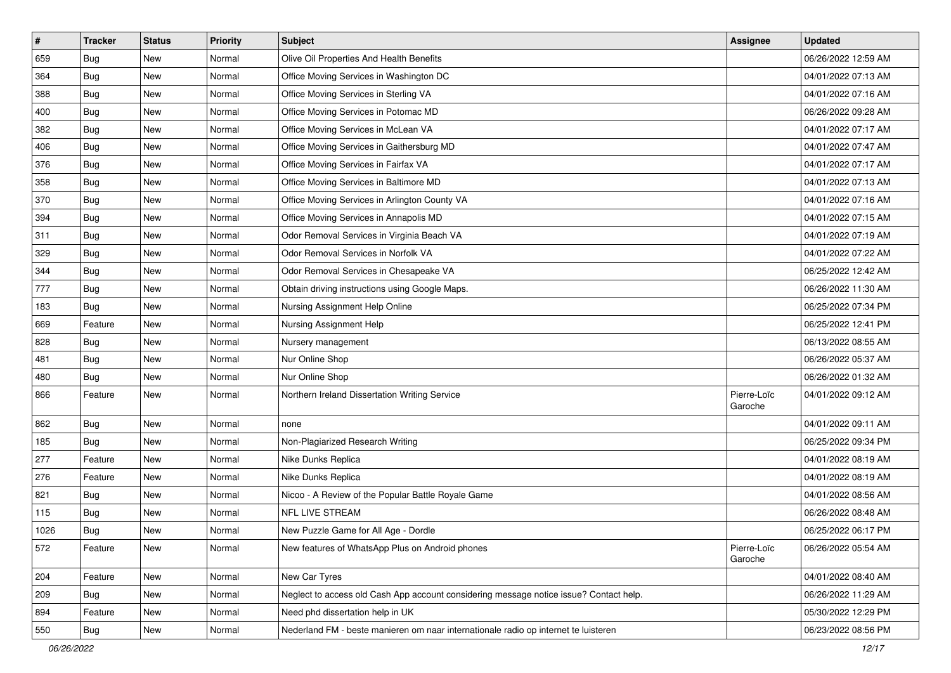| $\sharp$ | <b>Tracker</b> | <b>Status</b> | Priority | Subject                                                                                | <b>Assignee</b>        | <b>Updated</b>      |
|----------|----------------|---------------|----------|----------------------------------------------------------------------------------------|------------------------|---------------------|
| 659      | Bug            | New           | Normal   | Olive Oil Properties And Health Benefits                                               |                        | 06/26/2022 12:59 AM |
| 364      | <b>Bug</b>     | <b>New</b>    | Normal   | Office Moving Services in Washington DC                                                |                        | 04/01/2022 07:13 AM |
| 388      | <b>Bug</b>     | New           | Normal   | Office Moving Services in Sterling VA                                                  |                        | 04/01/2022 07:16 AM |
| 400      | <b>Bug</b>     | New           | Normal   | Office Moving Services in Potomac MD                                                   |                        | 06/26/2022 09:28 AM |
| 382      | <b>Bug</b>     | <b>New</b>    | Normal   | Office Moving Services in McLean VA                                                    |                        | 04/01/2022 07:17 AM |
| 406      | <b>Bug</b>     | New           | Normal   | Office Moving Services in Gaithersburg MD                                              |                        | 04/01/2022 07:47 AM |
| 376      | <b>Bug</b>     | <b>New</b>    | Normal   | Office Moving Services in Fairfax VA                                                   |                        | 04/01/2022 07:17 AM |
| 358      | Bug            | New           | Normal   | Office Moving Services in Baltimore MD                                                 |                        | 04/01/2022 07:13 AM |
| 370      | <b>Bug</b>     | New           | Normal   | Office Moving Services in Arlington County VA                                          |                        | 04/01/2022 07:16 AM |
| 394      | <b>Bug</b>     | <b>New</b>    | Normal   | Office Moving Services in Annapolis MD                                                 |                        | 04/01/2022 07:15 AM |
| 311      | Bug            | New           | Normal   | Odor Removal Services in Virginia Beach VA                                             |                        | 04/01/2022 07:19 AM |
| 329      | <b>Bug</b>     | New           | Normal   | Odor Removal Services in Norfolk VA                                                    |                        | 04/01/2022 07:22 AM |
| 344      | Bug            | New           | Normal   | Odor Removal Services in Chesapeake VA                                                 |                        | 06/25/2022 12:42 AM |
| 777      | <b>Bug</b>     | New           | Normal   | Obtain driving instructions using Google Maps.                                         |                        | 06/26/2022 11:30 AM |
| 183      | <b>Bug</b>     | New           | Normal   | Nursing Assignment Help Online                                                         |                        | 06/25/2022 07:34 PM |
| 669      | Feature        | New           | Normal   | Nursing Assignment Help                                                                |                        | 06/25/2022 12:41 PM |
| 828      | <b>Bug</b>     | New           | Normal   | Nursery management                                                                     |                        | 06/13/2022 08:55 AM |
| 481      | Bug            | <b>New</b>    | Normal   | Nur Online Shop                                                                        |                        | 06/26/2022 05:37 AM |
| 480      | Bug            | New           | Normal   | Nur Online Shop                                                                        |                        | 06/26/2022 01:32 AM |
| 866      | Feature        | New           | Normal   | Northern Ireland Dissertation Writing Service                                          | Pierre-Loïc<br>Garoche | 04/01/2022 09:12 AM |
| 862      | Bug            | <b>New</b>    | Normal   | none                                                                                   |                        | 04/01/2022 09:11 AM |
| 185      | <b>Bug</b>     | <b>New</b>    | Normal   | Non-Plagiarized Research Writing                                                       |                        | 06/25/2022 09:34 PM |
| 277      | Feature        | New           | Normal   | Nike Dunks Replica                                                                     |                        | 04/01/2022 08:19 AM |
| 276      | Feature        | New           | Normal   | Nike Dunks Replica                                                                     |                        | 04/01/2022 08:19 AM |
| 821      | Bug            | <b>New</b>    | Normal   | Nicoo - A Review of the Popular Battle Royale Game                                     |                        | 04/01/2022 08:56 AM |
| 115      | Bug            | New           | Normal   | <b>NFL LIVE STREAM</b>                                                                 |                        | 06/26/2022 08:48 AM |
| 1026     | <b>Bug</b>     | New           | Normal   | New Puzzle Game for All Age - Dordle                                                   |                        | 06/25/2022 06:17 PM |
| 572      | Feature        | New           | Normal   | New features of WhatsApp Plus on Android phones                                        | Pierre-Loïc<br>Garoche | 06/26/2022 05:54 AM |
| 204      | Feature        | New           | Normal   | New Car Tyres                                                                          |                        | 04/01/2022 08:40 AM |
| 209      | <b>Bug</b>     | New           | Normal   | Neglect to access old Cash App account considering message notice issue? Contact help. |                        | 06/26/2022 11:29 AM |
| 894      | Feature        | New           | Normal   | Need phd dissertation help in UK                                                       |                        | 05/30/2022 12:29 PM |
| 550      | <b>Bug</b>     | New           | Normal   | Nederland FM - beste manieren om naar internationale radio op internet te luisteren    |                        | 06/23/2022 08:56 PM |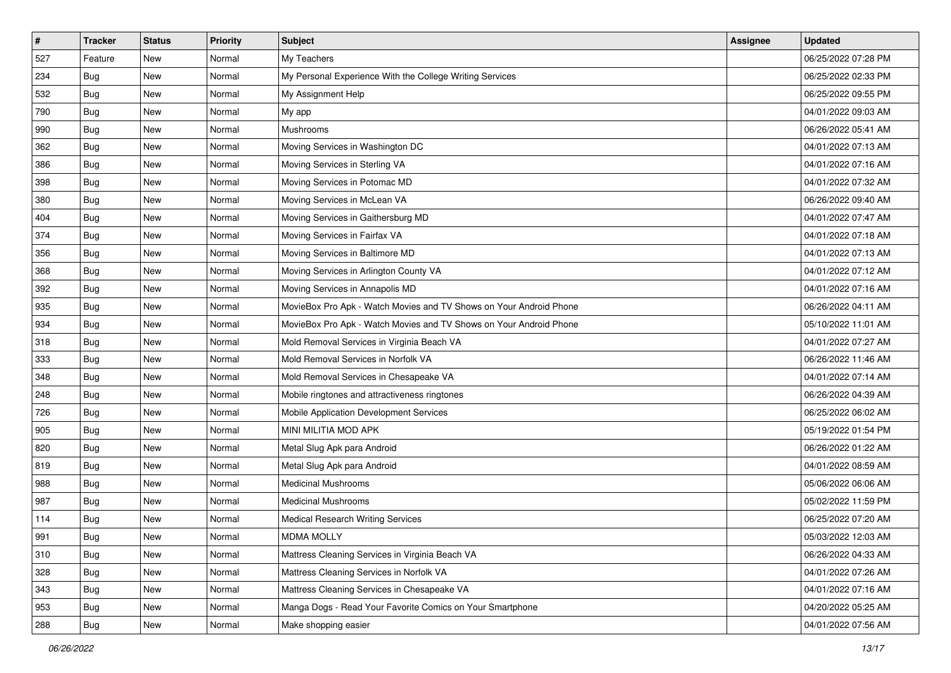| $\sharp$ | <b>Tracker</b> | <b>Status</b> | Priority | Subject                                                            | <b>Assignee</b> | <b>Updated</b>      |
|----------|----------------|---------------|----------|--------------------------------------------------------------------|-----------------|---------------------|
| 527      | Feature        | New           | Normal   | My Teachers                                                        |                 | 06/25/2022 07:28 PM |
| 234      | Bug            | <b>New</b>    | Normal   | My Personal Experience With the College Writing Services           |                 | 06/25/2022 02:33 PM |
| 532      | <b>Bug</b>     | New           | Normal   | My Assignment Help                                                 |                 | 06/25/2022 09:55 PM |
| 790      | Bug            | New           | Normal   | My app                                                             |                 | 04/01/2022 09:03 AM |
| 990      | Bug            | <b>New</b>    | Normal   | Mushrooms                                                          |                 | 06/26/2022 05:41 AM |
| 362      | <b>Bug</b>     | New           | Normal   | Moving Services in Washington DC                                   |                 | 04/01/2022 07:13 AM |
| 386      | <b>Bug</b>     | New           | Normal   | Moving Services in Sterling VA                                     |                 | 04/01/2022 07:16 AM |
| 398      | Bug            | New           | Normal   | Moving Services in Potomac MD                                      |                 | 04/01/2022 07:32 AM |
| 380      | <b>Bug</b>     | New           | Normal   | Moving Services in McLean VA                                       |                 | 06/26/2022 09:40 AM |
| 404      | <b>Bug</b>     | <b>New</b>    | Normal   | Moving Services in Gaithersburg MD                                 |                 | 04/01/2022 07:47 AM |
| 374      | Bug            | New           | Normal   | Moving Services in Fairfax VA                                      |                 | 04/01/2022 07:18 AM |
| 356      | <b>Bug</b>     | New           | Normal   | Moving Services in Baltimore MD                                    |                 | 04/01/2022 07:13 AM |
| 368      | <b>Bug</b>     | New           | Normal   | Moving Services in Arlington County VA                             |                 | 04/01/2022 07:12 AM |
| 392      | <b>Bug</b>     | New           | Normal   | Moving Services in Annapolis MD                                    |                 | 04/01/2022 07:16 AM |
| 935      | <b>Bug</b>     | New           | Normal   | MovieBox Pro Apk - Watch Movies and TV Shows on Your Android Phone |                 | 06/26/2022 04:11 AM |
| 934      | <b>Bug</b>     | New           | Normal   | MovieBox Pro Apk - Watch Movies and TV Shows on Your Android Phone |                 | 05/10/2022 11:01 AM |
| 318      | <b>Bug</b>     | New           | Normal   | Mold Removal Services in Virginia Beach VA                         |                 | 04/01/2022 07:27 AM |
| 333      | Bug            | <b>New</b>    | Normal   | Mold Removal Services in Norfolk VA                                |                 | 06/26/2022 11:46 AM |
| 348      | Bug            | New           | Normal   | Mold Removal Services in Chesapeake VA                             |                 | 04/01/2022 07:14 AM |
| 248      | <b>Bug</b>     | <b>New</b>    | Normal   | Mobile ringtones and attractiveness ringtones                      |                 | 06/26/2022 04:39 AM |
| 726      | Bug            | New           | Normal   | Mobile Application Development Services                            |                 | 06/25/2022 06:02 AM |
| 905      | <b>Bug</b>     | New           | Normal   | MINI MILITIA MOD APK                                               |                 | 05/19/2022 01:54 PM |
| 820      | <b>Bug</b>     | <b>New</b>    | Normal   | Metal Slug Apk para Android                                        |                 | 06/26/2022 01:22 AM |
| 819      | <b>Bug</b>     | New           | Normal   | Metal Slug Apk para Android                                        |                 | 04/01/2022 08:59 AM |
| 988      | <b>Bug</b>     | New           | Normal   | <b>Medicinal Mushrooms</b>                                         |                 | 05/06/2022 06:06 AM |
| 987      | <b>Bug</b>     | New           | Normal   | <b>Medicinal Mushrooms</b>                                         |                 | 05/02/2022 11:59 PM |
| 114      | Bug            | <b>New</b>    | Normal   | <b>Medical Research Writing Services</b>                           |                 | 06/25/2022 07:20 AM |
| 991      | <b>Bug</b>     | New           | Normal   | <b>MDMA MOLLY</b>                                                  |                 | 05/03/2022 12:03 AM |
| 310      | Bug            | New           | Normal   | Mattress Cleaning Services in Virginia Beach VA                    |                 | 06/26/2022 04:33 AM |
| 328      | <b>Bug</b>     | New           | Normal   | Mattress Cleaning Services in Norfolk VA                           |                 | 04/01/2022 07:26 AM |
| 343      | Bug            | New           | Normal   | Mattress Cleaning Services in Chesapeake VA                        |                 | 04/01/2022 07:16 AM |
| 953      | <b>Bug</b>     | New           | Normal   | Manga Dogs - Read Your Favorite Comics on Your Smartphone          |                 | 04/20/2022 05:25 AM |
| 288      | <b>Bug</b>     | New           | Normal   | Make shopping easier                                               |                 | 04/01/2022 07:56 AM |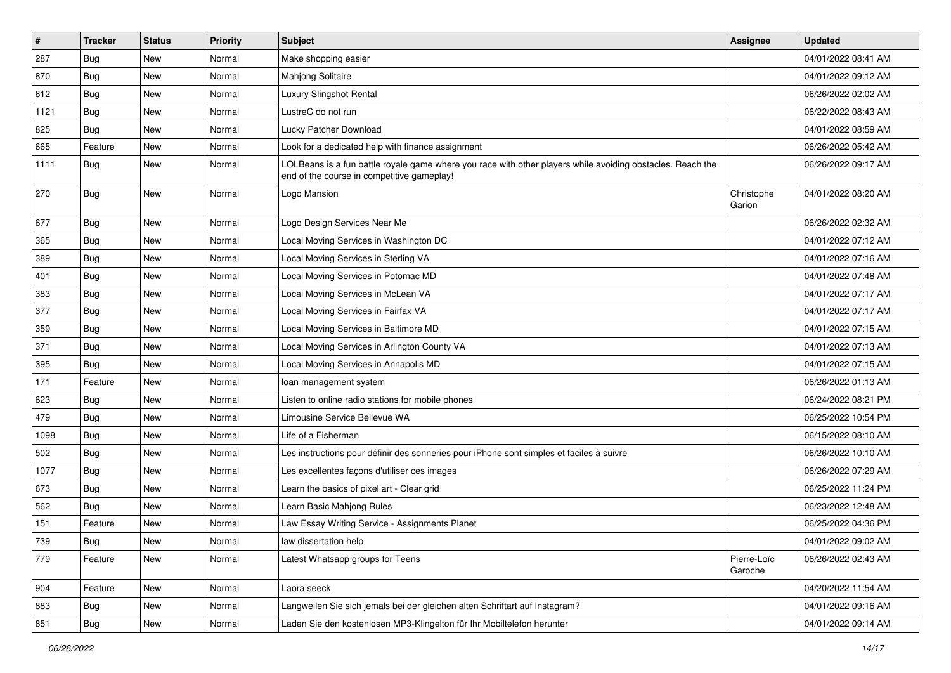| $\sharp$ | <b>Tracker</b> | <b>Status</b> | <b>Priority</b> | Subject                                                                                                                                                  | <b>Assignee</b>        | <b>Updated</b>      |
|----------|----------------|---------------|-----------------|----------------------------------------------------------------------------------------------------------------------------------------------------------|------------------------|---------------------|
| 287      | <b>Bug</b>     | New           | Normal          | Make shopping easier                                                                                                                                     |                        | 04/01/2022 08:41 AM |
| 870      | <b>Bug</b>     | <b>New</b>    | Normal          | Mahjong Solitaire                                                                                                                                        |                        | 04/01/2022 09:12 AM |
| 612      | <b>Bug</b>     | New           | Normal          | Luxury Slingshot Rental                                                                                                                                  |                        | 06/26/2022 02:02 AM |
| 1121     | <b>Bug</b>     | New           | Normal          | LustreC do not run                                                                                                                                       |                        | 06/22/2022 08:43 AM |
| 825      | <b>Bug</b>     | <b>New</b>    | Normal          | Lucky Patcher Download                                                                                                                                   |                        | 04/01/2022 08:59 AM |
| 665      | Feature        | New           | Normal          | Look for a dedicated help with finance assignment                                                                                                        |                        | 06/26/2022 05:42 AM |
| 1111     | Bug            | New           | Normal          | LOLBeans is a fun battle royale game where you race with other players while avoiding obstacles. Reach the<br>end of the course in competitive gameplay! |                        | 06/26/2022 09:17 AM |
| 270      | Bug            | New           | Normal          | Logo Mansion                                                                                                                                             | Christophe<br>Garion   | 04/01/2022 08:20 AM |
| 677      | <b>Bug</b>     | New           | Normal          | Logo Design Services Near Me                                                                                                                             |                        | 06/26/2022 02:32 AM |
| 365      | <b>Bug</b>     | New           | Normal          | Local Moving Services in Washington DC                                                                                                                   |                        | 04/01/2022 07:12 AM |
| 389      | <b>Bug</b>     | New           | Normal          | Local Moving Services in Sterling VA                                                                                                                     |                        | 04/01/2022 07:16 AM |
| 401      | <b>Bug</b>     | New           | Normal          | Local Moving Services in Potomac MD                                                                                                                      |                        | 04/01/2022 07:48 AM |
| 383      | <b>Bug</b>     | New           | Normal          | Local Moving Services in McLean VA                                                                                                                       |                        | 04/01/2022 07:17 AM |
| 377      | Bug            | New           | Normal          | Local Moving Services in Fairfax VA                                                                                                                      |                        | 04/01/2022 07:17 AM |
| 359      | <b>Bug</b>     | New           | Normal          | Local Moving Services in Baltimore MD                                                                                                                    |                        | 04/01/2022 07:15 AM |
| 371      | Bug            | New           | Normal          | Local Moving Services in Arlington County VA                                                                                                             |                        | 04/01/2022 07:13 AM |
| 395      | <b>Bug</b>     | New           | Normal          | Local Moving Services in Annapolis MD                                                                                                                    |                        | 04/01/2022 07:15 AM |
| 171      | Feature        | <b>New</b>    | Normal          | loan management system                                                                                                                                   |                        | 06/26/2022 01:13 AM |
| 623      | <b>Bug</b>     | New           | Normal          | Listen to online radio stations for mobile phones                                                                                                        |                        | 06/24/2022 08:21 PM |
| 479      | <b>Bug</b>     | New           | Normal          | Limousine Service Bellevue WA                                                                                                                            |                        | 06/25/2022 10:54 PM |
| 1098     | Bug            | <b>New</b>    | Normal          | Life of a Fisherman                                                                                                                                      |                        | 06/15/2022 08:10 AM |
| 502      | Bug            | New           | Normal          | Les instructions pour définir des sonneries pour iPhone sont simples et faciles à suivre                                                                 |                        | 06/26/2022 10:10 AM |
| 1077     | <b>Bug</b>     | New           | Normal          | Les excellentes façons d'utiliser ces images                                                                                                             |                        | 06/26/2022 07:29 AM |
| 673      | <b>Bug</b>     | New           | Normal          | Learn the basics of pixel art - Clear grid                                                                                                               |                        | 06/25/2022 11:24 PM |
| 562      | Bug            | New           | Normal          | Learn Basic Mahjong Rules                                                                                                                                |                        | 06/23/2022 12:48 AM |
| 151      | Feature        | <b>New</b>    | Normal          | Law Essay Writing Service - Assignments Planet                                                                                                           |                        | 06/25/2022 04:36 PM |
| 739      | Bug            | New           | Normal          | law dissertation help                                                                                                                                    |                        | 04/01/2022 09:02 AM |
| 779      | Feature        | New           | Normal          | Latest Whatsapp groups for Teens                                                                                                                         | Pierre-Loïc<br>Garoche | 06/26/2022 02:43 AM |
| 904      | Feature        | New           | Normal          | Laora seeck                                                                                                                                              |                        | 04/20/2022 11:54 AM |
| 883      | Bug            | New           | Normal          | Langweilen Sie sich jemals bei der gleichen alten Schriftart auf Instagram?                                                                              |                        | 04/01/2022 09:16 AM |
| 851      | <b>Bug</b>     | New           | Normal          | Laden Sie den kostenlosen MP3-Klingelton für Ihr Mobiltelefon herunter                                                                                   |                        | 04/01/2022 09:14 AM |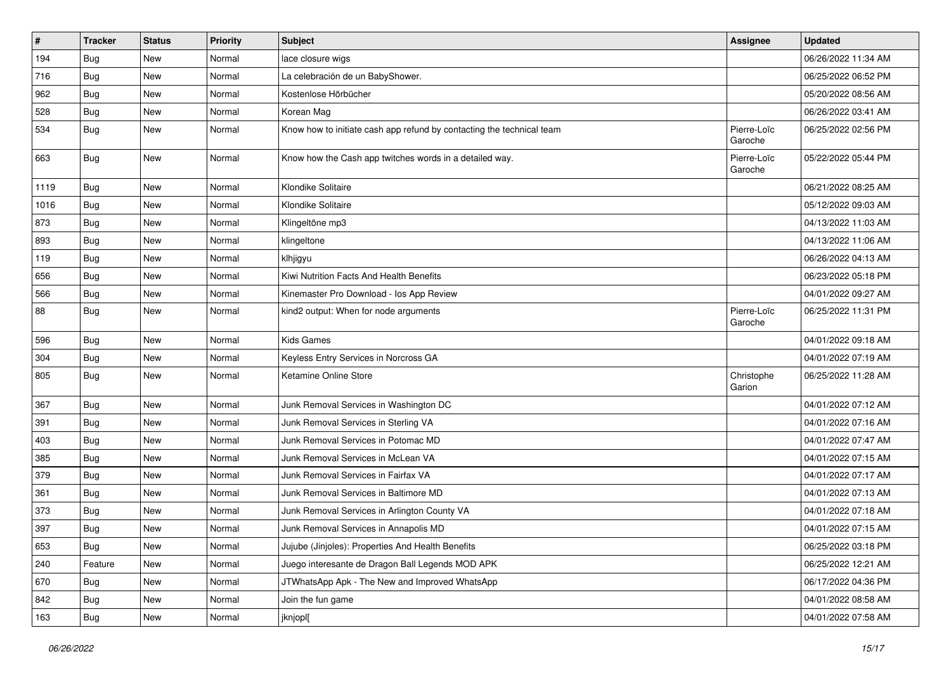| $\#$ | <b>Tracker</b> | <b>Status</b> | <b>Priority</b> | <b>Subject</b>                                                        | <b>Assignee</b>        | <b>Updated</b>      |
|------|----------------|---------------|-----------------|-----------------------------------------------------------------------|------------------------|---------------------|
| 194  | <b>Bug</b>     | New           | Normal          | lace closure wigs                                                     |                        | 06/26/2022 11:34 AM |
| 716  | Bug            | <b>New</b>    | Normal          | La celebración de un BabyShower.                                      |                        | 06/25/2022 06:52 PM |
| 962  | <b>Bug</b>     | New           | Normal          | Kostenlose Hörbücher                                                  |                        | 05/20/2022 08:56 AM |
| 528  | <b>Bug</b>     | New           | Normal          | Korean Mag                                                            |                        | 06/26/2022 03:41 AM |
| 534  | <b>Bug</b>     | New           | Normal          | Know how to initiate cash app refund by contacting the technical team | Pierre-Loïc<br>Garoche | 06/25/2022 02:56 PM |
| 663  | <b>Bug</b>     | New           | Normal          | Know how the Cash app twitches words in a detailed way.               | Pierre-Loïc<br>Garoche | 05/22/2022 05:44 PM |
| 1119 | Bug            | <b>New</b>    | Normal          | Klondike Solitaire                                                    |                        | 06/21/2022 08:25 AM |
| 1016 | Bug            | <b>New</b>    | Normal          | Klondike Solitaire                                                    |                        | 05/12/2022 09:03 AM |
| 873  | <b>Bug</b>     | New           | Normal          | Klingeltöne mp3                                                       |                        | 04/13/2022 11:03 AM |
| 893  | <b>Bug</b>     | New           | Normal          | klingeltone                                                           |                        | 04/13/2022 11:06 AM |
| 119  | Bug            | New           | Normal          | klhjigyu                                                              |                        | 06/26/2022 04:13 AM |
| 656  | <b>Bug</b>     | New           | Normal          | Kiwi Nutrition Facts And Health Benefits                              |                        | 06/23/2022 05:18 PM |
| 566  | <b>Bug</b>     | New           | Normal          | Kinemaster Pro Download - los App Review                              |                        | 04/01/2022 09:27 AM |
| 88   | <b>Bug</b>     | New           | Normal          | kind2 output: When for node arguments                                 | Pierre-Loïc<br>Garoche | 06/25/2022 11:31 PM |
| 596  | Bug            | <b>New</b>    | Normal          | <b>Kids Games</b>                                                     |                        | 04/01/2022 09:18 AM |
| 304  | <b>Bug</b>     | New           | Normal          | Keyless Entry Services in Norcross GA                                 |                        | 04/01/2022 07:19 AM |
| 805  | <b>Bug</b>     | New           | Normal          | Ketamine Online Store                                                 | Christophe<br>Garion   | 06/25/2022 11:28 AM |
| 367  | Bug            | <b>New</b>    | Normal          | Junk Removal Services in Washington DC                                |                        | 04/01/2022 07:12 AM |
| 391  | Bug            | New           | Normal          | Junk Removal Services in Sterling VA                                  |                        | 04/01/2022 07:16 AM |
| 403  | <b>Bug</b>     | New           | Normal          | Junk Removal Services in Potomac MD                                   |                        | 04/01/2022 07:47 AM |
| 385  | <b>Bug</b>     | New           | Normal          | Junk Removal Services in McLean VA                                    |                        | 04/01/2022 07:15 AM |
| 379  | Bug            | <b>New</b>    | Normal          | Junk Removal Services in Fairfax VA                                   |                        | 04/01/2022 07:17 AM |
| 361  | <b>Bug</b>     | New           | Normal          | Junk Removal Services in Baltimore MD                                 |                        | 04/01/2022 07:13 AM |
| 373  | <b>Bug</b>     | New           | Normal          | Junk Removal Services in Arlington County VA                          |                        | 04/01/2022 07:18 AM |
| 397  | <b>Bug</b>     | New           | Normal          | Junk Removal Services in Annapolis MD                                 |                        | 04/01/2022 07:15 AM |
| 653  | <b>Bug</b>     | New           | Normal          | Jujube (Jinjoles): Properties And Health Benefits                     |                        | 06/25/2022 03:18 PM |
| 240  | Feature        | New           | Normal          | Juego interesante de Dragon Ball Legends MOD APK                      |                        | 06/25/2022 12:21 AM |
| 670  | Bug            | New           | Normal          | JTWhatsApp Apk - The New and Improved WhatsApp                        |                        | 06/17/2022 04:36 PM |
| 842  | Bug            | New           | Normal          | Join the fun game                                                     |                        | 04/01/2022 08:58 AM |
| 163  | <b>Bug</b>     | New           | Normal          | jknjopl[                                                              |                        | 04/01/2022 07:58 AM |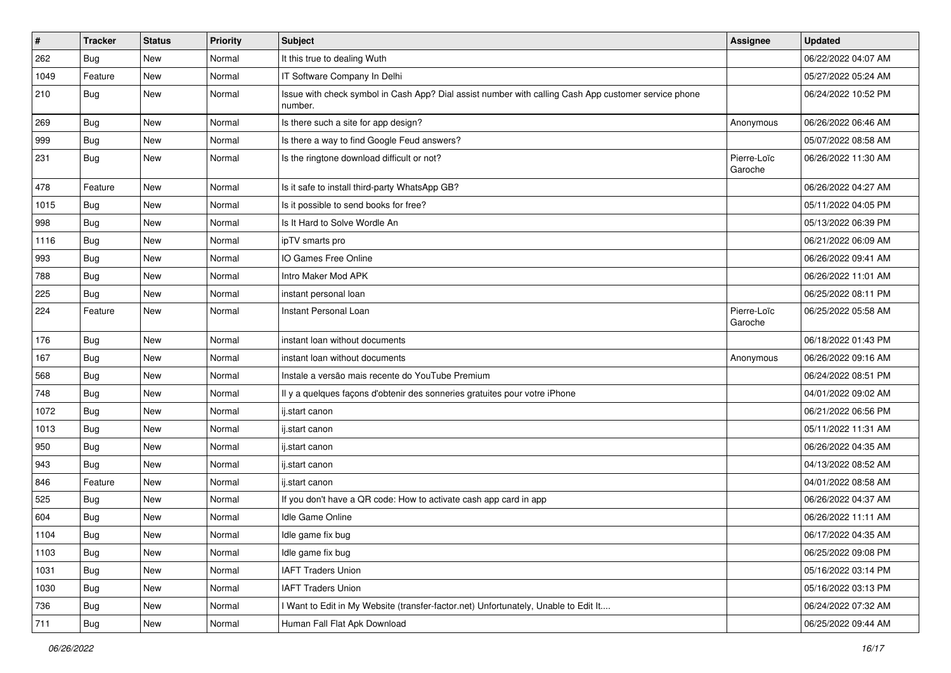| #    | <b>Tracker</b> | <b>Status</b> | Priority | <b>Subject</b>                                                                                                  | <b>Assignee</b>        | <b>Updated</b>      |
|------|----------------|---------------|----------|-----------------------------------------------------------------------------------------------------------------|------------------------|---------------------|
| 262  | <b>Bug</b>     | New           | Normal   | It this true to dealing Wuth                                                                                    |                        | 06/22/2022 04:07 AM |
| 1049 | Feature        | New           | Normal   | IT Software Company In Delhi                                                                                    |                        | 05/27/2022 05:24 AM |
| 210  | <b>Bug</b>     | New           | Normal   | Issue with check symbol in Cash App? Dial assist number with calling Cash App customer service phone<br>number. |                        | 06/24/2022 10:52 PM |
| 269  | <b>Bug</b>     | New           | Normal   | Is there such a site for app design?                                                                            | Anonymous              | 06/26/2022 06:46 AM |
| 999  | <b>Bug</b>     | New           | Normal   | Is there a way to find Google Feud answers?                                                                     |                        | 05/07/2022 08:58 AM |
| 231  | <b>Bug</b>     | New           | Normal   | Is the ringtone download difficult or not?                                                                      | Pierre-Loïc<br>Garoche | 06/26/2022 11:30 AM |
| 478  | Feature        | New           | Normal   | Is it safe to install third-party WhatsApp GB?                                                                  |                        | 06/26/2022 04:27 AM |
| 1015 | <b>Bug</b>     | New           | Normal   | Is it possible to send books for free?                                                                          |                        | 05/11/2022 04:05 PM |
| 998  | <b>Bug</b>     | New           | Normal   | Is It Hard to Solve Wordle An                                                                                   |                        | 05/13/2022 06:39 PM |
| 1116 | <b>Bug</b>     | New           | Normal   | ipTV smarts pro                                                                                                 |                        | 06/21/2022 06:09 AM |
| 993  | <b>Bug</b>     | New           | Normal   | IO Games Free Online                                                                                            |                        | 06/26/2022 09:41 AM |
| 788  | <b>Bug</b>     | New           | Normal   | Intro Maker Mod APK                                                                                             |                        | 06/26/2022 11:01 AM |
| 225  | <b>Bug</b>     | New           | Normal   | instant personal loan                                                                                           |                        | 06/25/2022 08:11 PM |
| 224  | Feature        | New           | Normal   | Instant Personal Loan                                                                                           | Pierre-Loïc<br>Garoche | 06/25/2022 05:58 AM |
| 176  | <b>Bug</b>     | New           | Normal   | instant loan without documents                                                                                  |                        | 06/18/2022 01:43 PM |
| 167  | <b>Bug</b>     | New           | Normal   | instant loan without documents                                                                                  | Anonymous              | 06/26/2022 09:16 AM |
| 568  | Bug            | New           | Normal   | Instale a versão mais recente do YouTube Premium                                                                |                        | 06/24/2022 08:51 PM |
| 748  | <b>Bug</b>     | New           | Normal   | Il y a quelques façons d'obtenir des sonneries gratuites pour votre iPhone                                      |                        | 04/01/2022 09:02 AM |
| 1072 | <b>Bug</b>     | New           | Normal   | ij.start canon                                                                                                  |                        | 06/21/2022 06:56 PM |
| 1013 | <b>Bug</b>     | New           | Normal   | ij.start canon                                                                                                  |                        | 05/11/2022 11:31 AM |
| 950  | <b>Bug</b>     | New           | Normal   | ij.start canon                                                                                                  |                        | 06/26/2022 04:35 AM |
| 943  | <b>Bug</b>     | New           | Normal   | ij.start canon                                                                                                  |                        | 04/13/2022 08:52 AM |
| 846  | Feature        | New           | Normal   | ij.start canon                                                                                                  |                        | 04/01/2022 08:58 AM |
| 525  | Bug            | New           | Normal   | If you don't have a QR code: How to activate cash app card in app                                               |                        | 06/26/2022 04:37 AM |
| 604  | <b>Bug</b>     | New           | Normal   | Idle Game Online                                                                                                |                        | 06/26/2022 11:11 AM |
| 1104 | Bug            | New           | Normal   | Idle game fix bug                                                                                               |                        | 06/17/2022 04:35 AM |
| 1103 | <b>Bug</b>     | New           | Normal   | Idle game fix bug                                                                                               |                        | 06/25/2022 09:08 PM |
| 1031 | <b>Bug</b>     | New           | Normal   | <b>IAFT Traders Union</b>                                                                                       |                        | 05/16/2022 03:14 PM |
| 1030 | <b>Bug</b>     | New           | Normal   | <b>IAFT Traders Union</b>                                                                                       |                        | 05/16/2022 03:13 PM |
| 736  | <b>Bug</b>     | New           | Normal   | I Want to Edit in My Website (transfer-factor.net) Unfortunately, Unable to Edit It                             |                        | 06/24/2022 07:32 AM |
| 711  | <b>Bug</b>     | New           | Normal   | Human Fall Flat Apk Download                                                                                    |                        | 06/25/2022 09:44 AM |